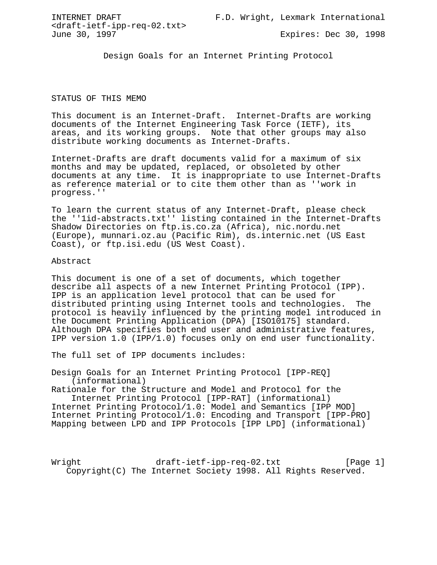INTERNET DRAFT F.D. Wright, Lexmark International

<draft-ietf-ipp-req-02.txt>

Expires: Dec 30, 1998

Design Goals for an Internet Printing Protocol

## STATUS OF THIS MEMO

This document is an Internet-Draft. Internet-Drafts are working documents of the Internet Engineering Task Force (IETF), its areas, and its working groups. Note that other groups may also distribute working documents as Internet-Drafts.

Internet-Drafts are draft documents valid for a maximum of six months and may be updated, replaced, or obsoleted by other documents at any time. It is inappropriate to use Internet-Drafts as reference material or to cite them other than as ''work in progress.''

To learn the current status of any Internet-Draft, please check the ''1id-abstracts.txt'' listing contained in the Internet-Drafts Shadow Directories on ftp.is.co.za (Africa), nic.nordu.net (Europe), munnari.oz.au (Pacific Rim), ds.internic.net (US East Coast), or ftp.isi.edu (US West Coast).

#### Abstract

This document is one of a set of documents, which together describe all aspects of a new Internet Printing Protocol (IPP). IPP is an application level protocol that can be used for distributed printing using Internet tools and technologies. The protocol is heavily influenced by the printing model introduced in the Document Printing Application (DPA) [ISO10175] standard. Although DPA specifies both end user and administrative features, IPP version 1.0 (IPP/1.0) focuses only on end user functionality.

The full set of IPP documents includes:

Design Goals for an Internet Printing Protocol [IPP-REQ] (informational)

Rationale for the Structure and Model and Protocol for the Internet Printing Protocol [IPP-RAT] (informational) Internet Printing Protocol/1.0: Model and Semantics [IPP MOD] Internet Printing Protocol/1.0: Encoding and Transport [IPP-PRO] Mapping between LPD and IPP Protocols [IPP LPD] (informational)

Wright draft-ietf-ipp-req-02.txt [Page 1] Copyright(C) The Internet Society 1998. All Rights Reserved.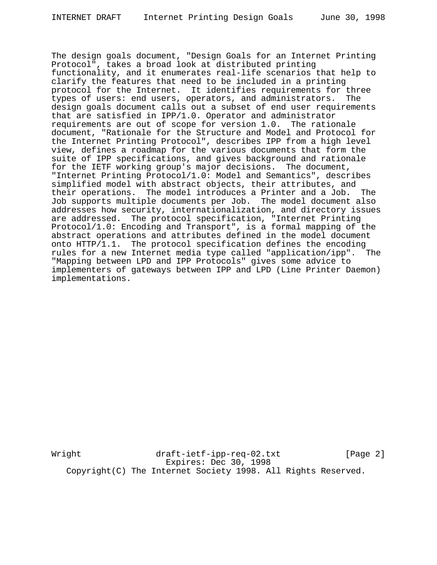The design goals document, "Design Goals for an Internet Printing Protocol", takes a broad look at distributed printing functionality, and it enumerates real-life scenarios that help to clarify the features that need to be included in a printing protocol for the Internet. It identifies requirements for three types of users: end users, operators, and administrators. The design goals document calls out a subset of end user requirements that are satisfied in IPP/1.0. Operator and administrator requirements are out of scope for version 1.0. The rationale document, "Rationale for the Structure and Model and Protocol for the Internet Printing Protocol", describes IPP from a high level view, defines a roadmap for the various documents that form the suite of IPP specifications, and gives background and rationale for the IETF working group's major decisions. The document, "Internet Printing Protocol/1.0: Model and Semantics", describes simplified model with abstract objects, their attributes, and their operations. The model introduces a Printer and a Job. The Job supports multiple documents per Job. The model document also addresses how security, internationalization, and directory issues are addressed. The protocol specification, "Internet Printing Protocol/1.0: Encoding and Transport", is a formal mapping of the abstract operations and attributes defined in the model document onto HTTP/1.1. The protocol specification defines the encoding rules for a new Internet media type called "application/ipp". The "Mapping between LPD and IPP Protocols" gives some advice to implementers of gateways between IPP and LPD (Line Printer Daemon) implementations.

Wright draft-ietf-ipp-req-02.txt [Page 2] Expires: Dec 30, 1998 Copyright(C) The Internet Society 1998. All Rights Reserved.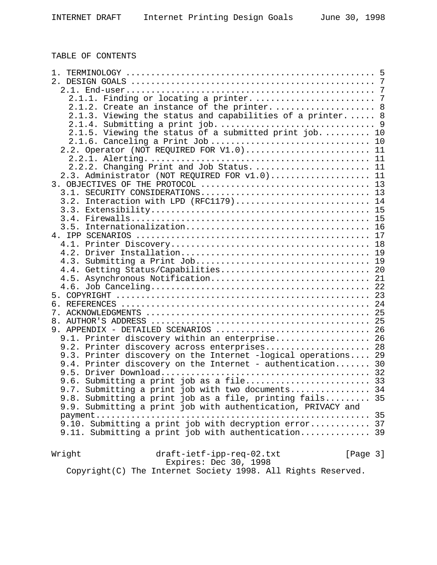| 1.                                                           |    |
|--------------------------------------------------------------|----|
|                                                              |    |
|                                                              |    |
|                                                              |    |
| 2.1.2. Create an instance of the printer.  8                 |    |
| 2.1.3. Viewing the status and capabilities of a printer.  8  |    |
|                                                              |    |
| 2.1.5. Viewing the status of a submitted print job 10        |    |
| 2.1.6. Canceling a Print Job                                 | 10 |
|                                                              |    |
| 2.2. Operator (NOT REQUIRED FOR V1.0) 11                     |    |
|                                                              |    |
| 2.2.2. Changing Print and Job Status 11                      |    |
| 2.3. Administrator (NOT REQUIRED FOR v1.0) 11                |    |
|                                                              |    |
| 3.1.                                                         |    |
| Interaction with LPD (RFC1179) 14<br>3.2.                    |    |
| 3.3.                                                         |    |
| 3.4.                                                         |    |
| 3.5.                                                         |    |
|                                                              |    |
|                                                              |    |
| 4.2.                                                         |    |
| 4.3.                                                         |    |
| 4.4. Getting Status/Capabilities 20                          |    |
|                                                              |    |
|                                                              |    |
|                                                              |    |
|                                                              |    |
|                                                              |    |
|                                                              |    |
|                                                              |    |
| 9. APPENDIX - DETAILED SCENARIOS  26                         |    |
| 9.1. Printer discovery within an enterprise 26               |    |
| 9.2. Printer discovery across enterprises 28                 |    |
| 9.3. Printer discovery on the Internet -logical operations   | 29 |
| 9.4. Printer discovery on the Internet - authentication 30   |    |
|                                                              |    |
| 9.6. Submitting a print job as a file 33                     |    |
| 9.7. Submitting a print job with two documents 34            |    |
| 9.8. Submitting a print job as a file, printing fails 35     |    |
| 9.9. Submitting a print job with authentication, PRIVACY and |    |
|                                                              |    |
| 9.10. Submitting a print job with decryption error 37        |    |
| 9.11. Submitting a print job with authentication 39          |    |
|                                                              |    |
|                                                              |    |
| Wright<br>draft-ietf-ipp-req-02.txt<br>[Page 3]              |    |
| Expires: Dec 30, 1998                                        |    |
| Copyright(C) The Internet Society 1998. All Rights Reserved. |    |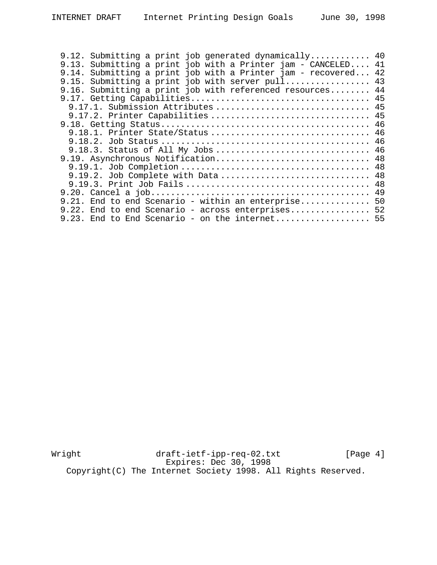| 9.12. Submitting a print job generated dynamically 40         |    |
|---------------------------------------------------------------|----|
| 9.13. Submitting a print job with a Printer jam - CANCELED 41 |    |
| 9.14. Submitting a print job with a Printer jam - recovered   | 42 |
| 9.15. Submitting a print job with server $pull$ 43            |    |
| 9.16. Submitting a print job with referenced resources 44     |    |
|                                                               |    |
| 9.17.1. Submission Attributes  45                             |    |
| 9.17.2. Printer Capabilities  45                              |    |
|                                                               |    |
| 9.18.1. Printer State/Status  46                              |    |
|                                                               |    |
| 9.18.3. Status of All My Jobs  46                             |    |
| 9.19. Asynchronous Notification 48                            |    |
|                                                               |    |
| 9.19.2. Job Complete with Data  48                            |    |
|                                                               |    |
|                                                               |    |
| 9.21. End to end Scenario - within an enterprise 50           |    |
| 9.22. End to end Scenario - across enterprises 52             |    |
|                                                               |    |
| 9.23. End to End Scenario - on the internet 55                |    |

Wright draft-ietf-ipp-req-02.txt [Page 4] Expires: Dec 30, 1998 Copyright(C) The Internet Society 1998. All Rights Reserved.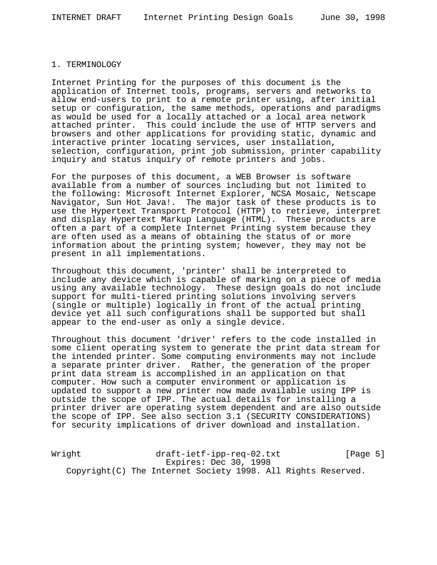## 1. TERMINOLOGY

Internet Printing for the purposes of this document is the application of Internet tools, programs, servers and networks to allow end-users to print to a remote printer using, after initial setup or configuration, the same methods, operations and paradigms as would be used for a locally attached or a local area network attached printer. This could include the use of HTTP servers and browsers and other applications for providing static, dynamic and interactive printer locating services, user installation, selection, configuration, print job submission, printer capability inquiry and status inquiry of remote printers and jobs.

For the purposes of this document, a WEB Browser is software available from a number of sources including but not limited to the following: Microsoft Internet Explorer, NCSA Mosaic, Netscape Navigator, Sun Hot Java!. The major task of these products is to use the Hypertext Transport Protocol (HTTP) to retrieve, interpret and display Hypertext Markup Language (HTML). These products are often a part of a complete Internet Printing system because they are often used as a means of obtaining the status of or more information about the printing system; however, they may not be present in all implementations.

Throughout this document, 'printer' shall be interpreted to include any device which is capable of marking on a piece of media using any available technology. These design goals do not include support for multi-tiered printing solutions involving servers (single or multiple) logically in front of the actual printing device yet all such configurations shall be supported but shall appear to the end-user as only a single device.

Throughout this document 'driver' refers to the code installed in some client operating system to generate the print data stream for the intended printer. Some computing environments may not include a separate printer driver. Rather, the generation of the proper print data stream is accomplished in an application on that computer. How such a computer environment or application is updated to support a new printer now made available using IPP is outside the scope of IPP. The actual details for installing a printer driver are operating system dependent and are also outside the scope of IPP. See also section 3.1 (SECURITY CONSIDERATIONS) for security implications of driver download and installation.

Wright draft-ietf-ipp-req-02.txt [Page 5] Expires: Dec 30, 1998 Copyright(C) The Internet Society 1998. All Rights Reserved.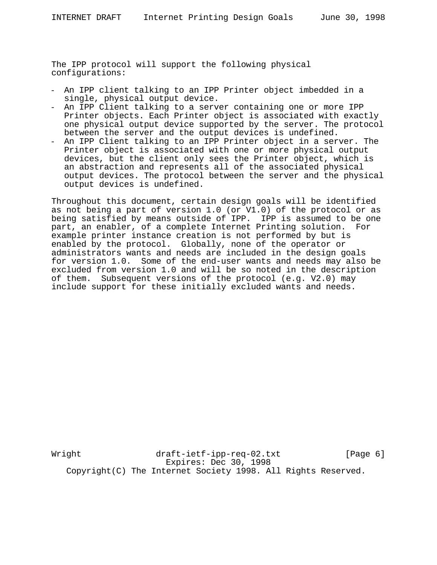The IPP protocol will support the following physical configurations:

- An IPP client talking to an IPP Printer object imbedded in a single, physical output device.
- An IPP Client talking to a server containing one or more IPP Printer objects. Each Printer object is associated with exactly one physical output device supported by the server. The protocol between the server and the output devices is undefined.
- An IPP Client talking to an IPP Printer object in a server. The Printer object is associated with one or more physical output devices, but the client only sees the Printer object, which is an abstraction and represents all of the associated physical output devices. The protocol between the server and the physical output devices is undefined.

Throughout this document, certain design goals will be identified as not being a part of version 1.0 (or V1.0) of the protocol or as being satisfied by means outside of IPP. IPP is assumed to be one part, an enabler, of a complete Internet Printing solution. For example printer instance creation is not performed by but is enabled by the protocol. Globally, none of the operator or administrators wants and needs are included in the design goals for version 1.0. Some of the end-user wants and needs may also be excluded from version 1.0 and will be so noted in the description of them. Subsequent versions of the protocol (e.g. V2.0) may include support for these initially excluded wants and needs.

Wright draft-ietf-ipp-req-02.txt [Page 6] Expires: Dec 30, 1998 Copyright(C) The Internet Society 1998. All Rights Reserved.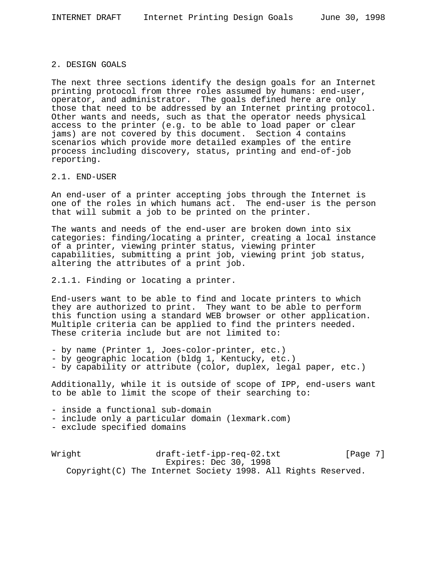#### 2. DESIGN GOALS

The next three sections identify the design goals for an Internet printing protocol from three roles assumed by humans: end-user, operator, and administrator. The goals defined here are only those that need to be addressed by an Internet printing protocol. Other wants and needs, such as that the operator needs physical access to the printer (e.g. to be able to load paper or clear jams) are not covered by this document. Section 4 contains scenarios which provide more detailed examples of the entire process including discovery, status, printing and end-of-job reporting.

## 2.1. END-USER

An end-user of a printer accepting jobs through the Internet is one of the roles in which humans act. The end-user is the person that will submit a job to be printed on the printer.

The wants and needs of the end-user are broken down into six categories: finding/locating a printer, creating a local instance of a printer, viewing printer status, viewing printer capabilities, submitting a print job, viewing print job status, altering the attributes of a print job.

2.1.1. Finding or locating a printer.

End-users want to be able to find and locate printers to which they are authorized to print. They want to be able to perform this function using a standard WEB browser or other application. Multiple criteria can be applied to find the printers needed. These criteria include but are not limited to:

- by name (Printer 1, Joes-color-printer, etc.)
- by geographic location (bldg 1, Kentucky, etc.)
- by capability or attribute (color, duplex, legal paper, etc.)

Additionally, while it is outside of scope of IPP, end-users want to be able to limit the scope of their searching to:

- inside a functional sub-domain

- include only a particular domain (lexmark.com)
- exclude specified domains

Wright draft-ietf-ipp-req-02.txt [Page 7] Expires: Dec 30, 1998 Copyright(C) The Internet Society 1998. All Rights Reserved.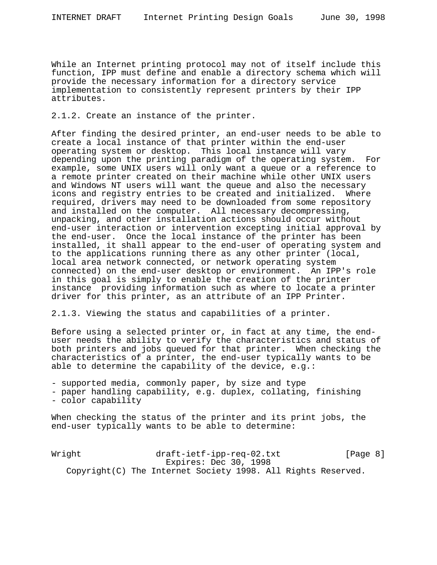While an Internet printing protocol may not of itself include this function, IPP must define and enable a directory schema which will provide the necessary information for a directory service implementation to consistently represent printers by their IPP attributes.

2.1.2. Create an instance of the printer.

After finding the desired printer, an end-user needs to be able to create a local instance of that printer within the end-user operating system or desktop. This local instance will vary depending upon the printing paradigm of the operating system. For example, some UNIX users will only want a queue or a reference to a remote printer created on their machine while other UNIX users and Windows NT users will want the queue and also the necessary icons and registry entries to be created and initialized. Where required, drivers may need to be downloaded from some repository and installed on the computer. All necessary decompressing, unpacking, and other installation actions should occur without end-user interaction or intervention excepting initial approval by the end-user. Once the local instance of the printer has been installed, it shall appear to the end-user of operating system and to the applications running there as any other printer (local, local area network connected, or network operating system connected) on the end-user desktop or environment. An IPP's role in this goal is simply to enable the creation of the printer instance providing information such as where to locate a printer driver for this printer, as an attribute of an IPP Printer.

2.1.3. Viewing the status and capabilities of a printer.

Before using a selected printer or, in fact at any time, the enduser needs the ability to verify the characteristics and status of both printers and jobs queued for that printer. When checking the characteristics of a printer, the end-user typically wants to be able to determine the capability of the device, e.g.:

- supported media, commonly paper, by size and type

- paper handling capability, e.g. duplex, collating, finishing - color capability

When checking the status of the printer and its print jobs, the end-user typically wants to be able to determine:

Wright draft-ietf-ipp-req-02.txt [Page 8] Expires: Dec 30, 1998 Copyright(C) The Internet Society 1998. All Rights Reserved.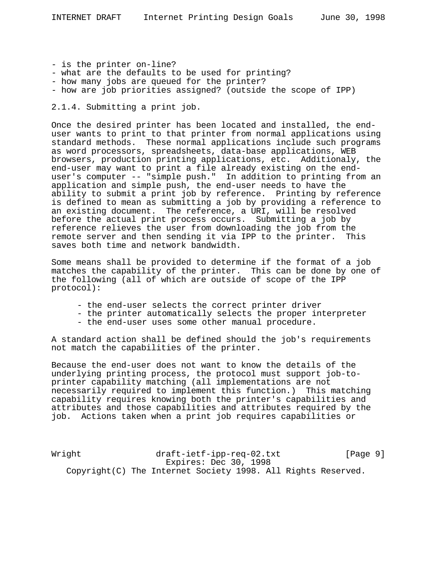- is the printer on-line?
- what are the defaults to be used for printing?
- how many jobs are queued for the printer?
- how are job priorities assigned? (outside the scope of IPP)

2.1.4. Submitting a print job.

Once the desired printer has been located and installed, the enduser wants to print to that printer from normal applications using standard methods. These normal applications include such programs as word processors, spreadsheets, data-base applications, WEB browsers, production printing applications, etc. Additionaly, the end-user may want to print a file already existing on the enduser's computer -- "simple push." In addition to printing from an application and simple push, the end-user needs to have the ability to submit a print job by reference. Printing by reference is defined to mean as submitting a job by providing a reference to an existing document. The reference, a URI, will be resolved before the actual print process occurs. Submitting a job by reference relieves the user from downloading the job from the remote server and then sending it via IPP to the printer. This saves both time and network bandwidth.

Some means shall be provided to determine if the format of a job matches the capability of the printer. This can be done by one of the following (all of which are outside of scope of the IPP protocol):

- the end-user selects the correct printer driver
- the printer automatically selects the proper interpreter
- the end-user uses some other manual procedure.

A standard action shall be defined should the job's requirements not match the capabilities of the printer.

Because the end-user does not want to know the details of the underlying printing process, the protocol must support job-toprinter capability matching (all implementations are not necessarily required to implement this function.) This matching capability requires knowing both the printer's capabilities and attributes and those capabilities and attributes required by the job. Actions taken when a print job requires capabilities or

Wright draft-ietf-ipp-req-02.txt [Page 9] Expires: Dec 30, 1998 Copyright(C) The Internet Society 1998. All Rights Reserved.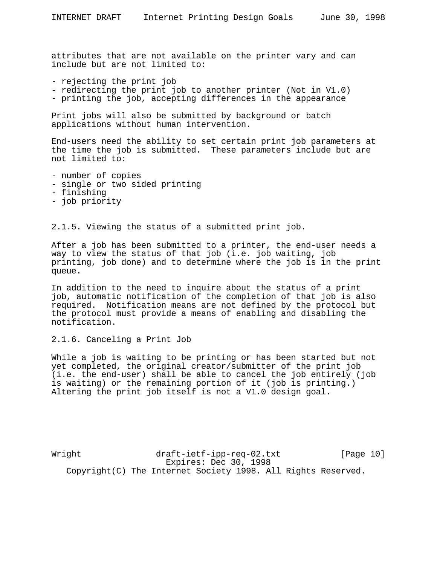attributes that are not available on the printer vary and can include but are not limited to:

- rejecting the print job
- redirecting the print job to another printer (Not in V1.0)
- printing the job, accepting differences in the appearance

Print jobs will also be submitted by background or batch applications without human intervention.

End-users need the ability to set certain print job parameters at the time the job is submitted. These parameters include but are not limited to:

- number of copies
- single or two sided printing
- finishing
- job priority

2.1.5. Viewing the status of a submitted print job.

After a job has been submitted to a printer, the end-user needs a way to view the status of that job (i.e. job waiting, job printing, job done) and to determine where the job is in the print queue.

In addition to the need to inquire about the status of a print job, automatic notification of the completion of that job is also required. Notification means are not defined by the protocol but the protocol must provide a means of enabling and disabling the notification.

2.1.6. Canceling a Print Job

While a job is waiting to be printing or has been started but not yet completed, the original creator/submitter of the print job (i.e. the end-user) shall be able to cancel the job entirely (job is waiting) or the remaining portion of it (job is printing.) Altering the print job itself is not a V1.0 design goal.

Wright draft-ietf-ipp-req-02.txt [Page 10] Expires: Dec 30, 1998 Copyright(C) The Internet Society 1998. All Rights Reserved.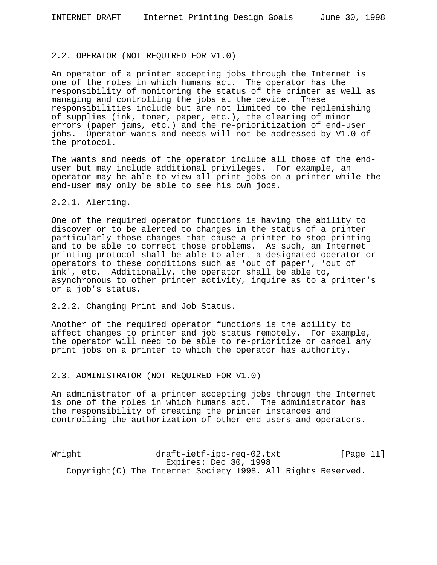#### 2.2. OPERATOR (NOT REQUIRED FOR V1.0)

An operator of a printer accepting jobs through the Internet is one of the roles in which humans act. The operator has the responsibility of monitoring the status of the printer as well as managing and controlling the jobs at the device. These responsibilities include but are not limited to the replenishing of supplies (ink, toner, paper, etc.), the clearing of minor errors (paper jams, etc.) and the re-prioritization of end-user jobs. Operator wants and needs will not be addressed by V1.0 of the protocol.

The wants and needs of the operator include all those of the enduser but may include additional privileges. For example, an operator may be able to view all print jobs on a printer while the end-user may only be able to see his own jobs.

## 2.2.1. Alerting.

One of the required operator functions is having the ability to discover or to be alerted to changes in the status of a printer particularly those changes that cause a printer to stop printing and to be able to correct those problems. As such, an Internet printing protocol shall be able to alert a designated operator or operators to these conditions such as 'out of paper', 'out of ink', etc. Additionally. the operator shall be able to, asynchronous to other printer activity, inquire as to a printer's or a job's status.

2.2.2. Changing Print and Job Status.

Another of the required operator functions is the ability to affect changes to printer and job status remotely. For example, the operator will need to be able to re-prioritize or cancel any print jobs on a printer to which the operator has authority.

#### 2.3. ADMINISTRATOR (NOT REQUIRED FOR V1.0)

An administrator of a printer accepting jobs through the Internet is one of the roles in which humans act. The administrator has the responsibility of creating the printer instances and controlling the authorization of other end-users and operators.

Wright draft-ietf-ipp-req-02.txt [Page 11] Expires: Dec 30, 1998 Copyright(C) The Internet Society 1998. All Rights Reserved.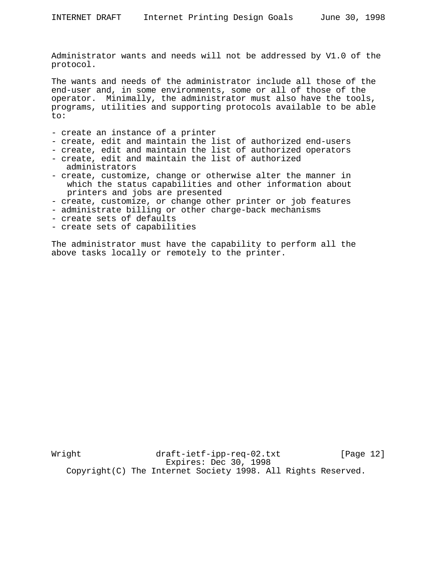Administrator wants and needs will not be addressed by V1.0 of the protocol.

The wants and needs of the administrator include all those of the end-user and, in some environments, some or all of those of the operator. Minimally, the administrator must also have the tools, programs, utilities and supporting protocols available to be able  $t \cap$ :

- create an instance of a printer
- create, edit and maintain the list of authorized end-users
- create, edit and maintain the list of authorized operators
- create, edit and maintain the list of authorized administrators
- create, customize, change or otherwise alter the manner in which the status capabilities and other information about printers and jobs are presented
- create, customize, or change other printer or job features
- administrate billing or other charge-back mechanisms
- create sets of defaults
- create sets of capabilities

The administrator must have the capability to perform all the above tasks locally or remotely to the printer.

Wright draft-ietf-ipp-req-02.txt [Page 12] Expires: Dec 30, 1998 Copyright(C) The Internet Society 1998. All Rights Reserved.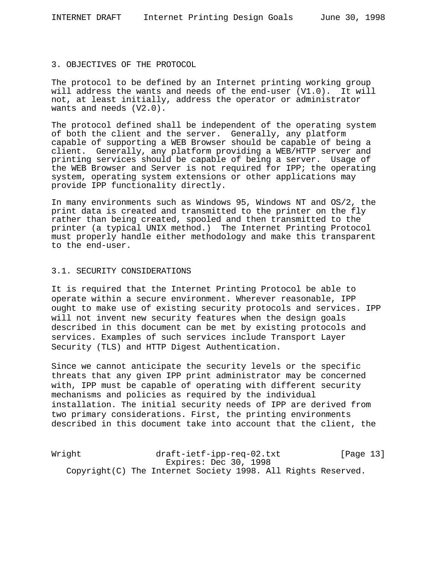#### 3. OBJECTIVES OF THE PROTOCOL

The protocol to be defined by an Internet printing working group will address the wants and needs of the end-user (V1.0). It will not, at least initially, address the operator or administrator wants and needs (V2.0).

The protocol defined shall be independent of the operating system of both the client and the server. Generally, any platform capable of supporting a WEB Browser should be capable of being a client. Generally, any platform providing a WEB/HTTP server and printing services should be capable of being a server. Usage of the WEB Browser and Server is not required for IPP; the operating system, operating system extensions or other applications may provide IPP functionality directly.

In many environments such as Windows 95, Windows NT and OS/2, the print data is created and transmitted to the printer on the fly rather than being created, spooled and then transmitted to the printer (a typical UNIX method.) The Internet Printing Protocol must properly handle either methodology and make this transparent to the end-user.

## 3.1. SECURITY CONSIDERATIONS

It is required that the Internet Printing Protocol be able to operate within a secure environment. Wherever reasonable, IPP ought to make use of existing security protocols and services. IPP will not invent new security features when the design goals described in this document can be met by existing protocols and services. Examples of such services include Transport Layer Security (TLS) and HTTP Digest Authentication.

Since we cannot anticipate the security levels or the specific threats that any given IPP print administrator may be concerned with, IPP must be capable of operating with different security mechanisms and policies as required by the individual installation. The initial security needs of IPP are derived from two primary considerations. First, the printing environments described in this document take into account that the client, the

Wright draft-ietf-ipp-req-02.txt [Page 13] Expires: Dec 30, 1998 Copyright(C) The Internet Society 1998. All Rights Reserved.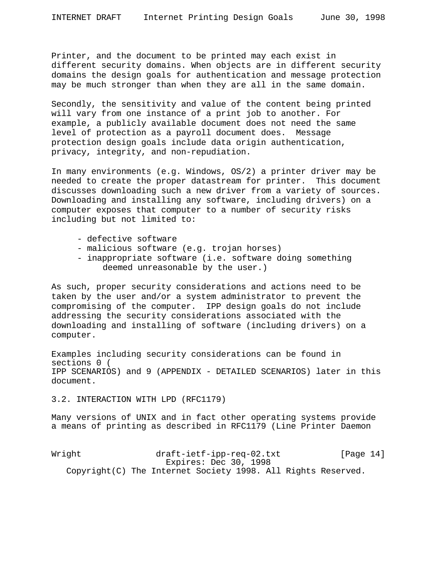Printer, and the document to be printed may each exist in different security domains. When objects are in different security domains the design goals for authentication and message protection may be much stronger than when they are all in the same domain.

Secondly, the sensitivity and value of the content being printed will vary from one instance of a print job to another. For example, a publicly available document does not need the same level of protection as a payroll document does. Message protection design goals include data origin authentication, privacy, integrity, and non-repudiation.

In many environments (e.g. Windows, OS/2) a printer driver may be needed to create the proper datastream for printer. This document discusses downloading such a new driver from a variety of sources. Downloading and installing any software, including drivers) on a computer exposes that computer to a number of security risks including but not limited to:

- defective software
- malicious software (e.g. trojan horses)
- inappropriate software (i.e. software doing something deemed unreasonable by the user.)

As such, proper security considerations and actions need to be taken by the user and/or a system administrator to prevent the compromising of the computer. IPP design goals do not include addressing the security considerations associated with the downloading and installing of software (including drivers) on a computer.

Examples including security considerations can be found in sections 0 ( IPP SCENARIOS) and 9 (APPENDIX - DETAILED SCENARIOS) later in this document.

3.2. INTERACTION WITH LPD (RFC1179)

Many versions of UNIX and in fact other operating systems provide a means of printing as described in RFC1179 (Line Printer Daemon

Wright draft-ietf-ipp-req-02.txt [Page 14] Expires: Dec 30, 1998 Copyright(C) The Internet Society 1998. All Rights Reserved.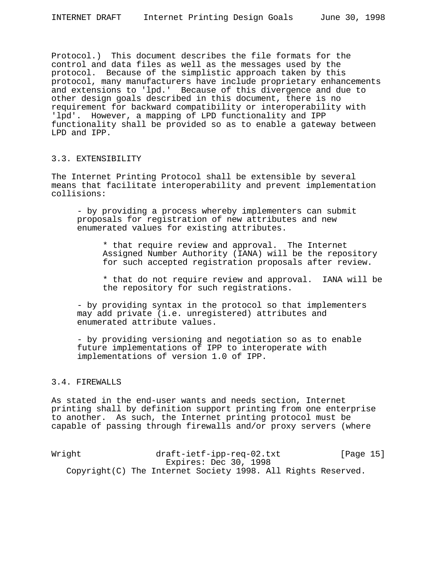Protocol.) This document describes the file formats for the control and data files as well as the messages used by the protocol. Because of the simplistic approach taken by this protocol, many manufacturers have include proprietary enhancements and extensions to 'lpd.' Because of this divergence and due to other design goals described in this document, there is no requirement for backward compatibility or interoperability with 'lpd'. However, a mapping of LPD functionality and IPP functionality shall be provided so as to enable a gateway between LPD and IPP.

# 3.3. EXTENSIBILITY

The Internet Printing Protocol shall be extensible by several means that facilitate interoperability and prevent implementation collisions:

- by providing a process whereby implementers can submit proposals for registration of new attributes and new enumerated values for existing attributes.

\* that require review and approval. The Internet Assigned Number Authority (IANA) will be the repository for such accepted registration proposals after review.

\* that do not require review and approval. IANA will be the repository for such registrations.

- by providing syntax in the protocol so that implementers may add private (i.e. unregistered) attributes and enumerated attribute values.

- by providing versioning and negotiation so as to enable future implementations of IPP to interoperate with implementations of version 1.0 of IPP.

# 3.4. FIREWALLS

As stated in the end-user wants and needs section, Internet printing shall by definition support printing from one enterprise to another. As such, the Internet printing protocol must be capable of passing through firewalls and/or proxy servers (where

Wright draft-ietf-ipp-req-02.txt [Page 15] Expires: Dec 30, 1998 Copyright(C) The Internet Society 1998. All Rights Reserved.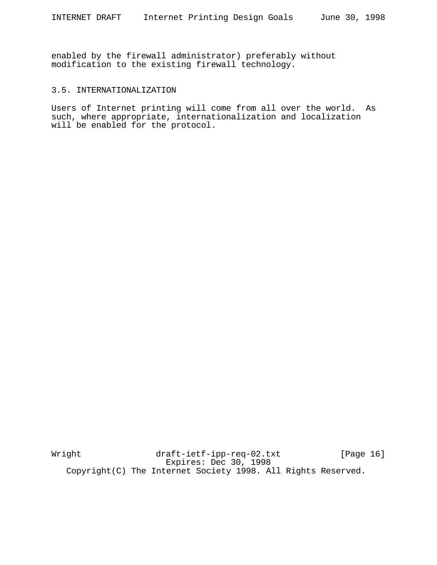enabled by the firewall administrator) preferably without modification to the existing firewall technology.

## 3.5. INTERNATIONALIZATION

Users of Internet printing will come from all over the world. As such, where appropriate, internationalization and localization will be enabled for the protocol.

Wright draft-ietf-ipp-req-02.txt [Page 16] Expires: Dec 30, 1998 Copyright(C) The Internet Society 1998. All Rights Reserved.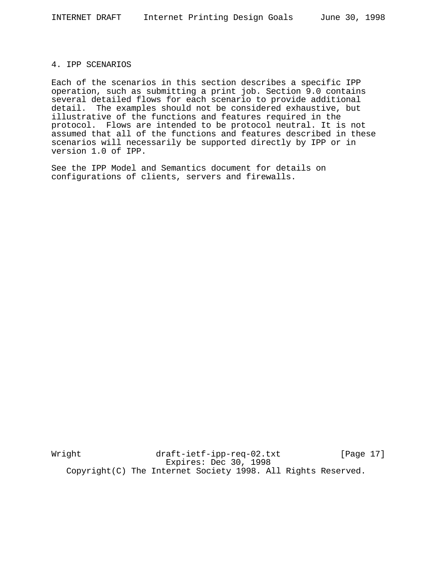#### 4. IPP SCENARIOS

Each of the scenarios in this section describes a specific IPP operation, such as submitting a print job. Section 9.0 contains several detailed flows for each scenario to provide additional detail. The examples should not be considered exhaustive, but illustrative of the functions and features required in the protocol. Flows are intended to be protocol neutral. It is not assumed that all of the functions and features described in these scenarios will necessarily be supported directly by IPP or in version 1.0 of IPP.

See the IPP Model and Semantics document for details on configurations of clients, servers and firewalls.

Wright draft-ietf-ipp-req-02.txt [Page 17] Expires: Dec 30, 1998 Copyright(C) The Internet Society 1998. All Rights Reserved.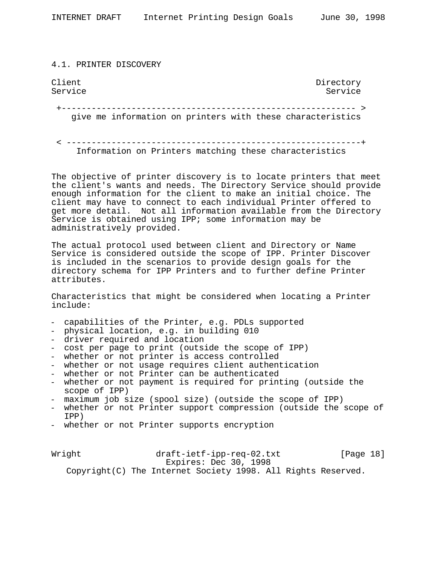4.1. PRINTER DISCOVERY

Client Directory<br>Service Service Directory Service Service Service Service

 +----------------------------------------------------------- > give me information on printers with these characteristics

 < -----------------------------------------------------------+ Information on Printers matching these characteristics

The objective of printer discovery is to locate printers that meet the client's wants and needs. The Directory Service should provide enough information for the client to make an initial choice. The client may have to connect to each individual Printer offered to get more detail. Not all information available from the Directory Service is obtained using IPP; some information may be administratively provided.

The actual protocol used between client and Directory or Name Service is considered outside the scope of IPP. Printer Discover is included in the scenarios to provide design goals for the directory schema for IPP Printers and to further define Printer attributes.

Characteristics that might be considered when locating a Printer include:

- 
- 
- 
- 
- 
- 
- 
- capabilities of the Printer, e.g. PDLs supported<br>
 physical location, e.g. in building 010<br>
 driver required and location<br>
 cost per page to print (outside the scope of IPP)<br>
 whether or not printer is access control
- 
- maximum job size (spool size) (outside the scope of IPP)<br>- whether or not Printer support compression (outside the scope of
- IPP) whether or not Printer supports encryption

Wright draft-ietf-ipp-req-02.txt [Page 18] Expires: Dec 30, 1998 Copyright(C) The Internet Society 1998. All Rights Reserved.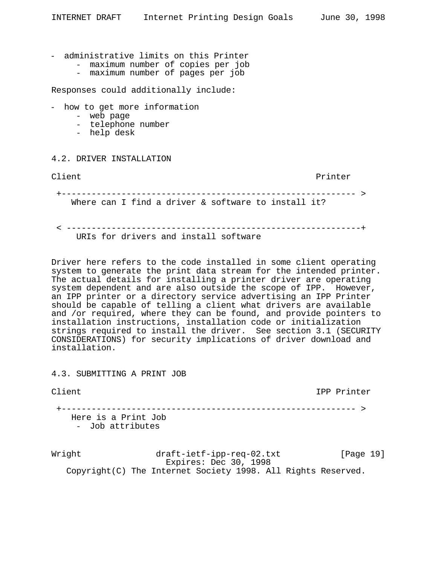- administrative limits on this Printer
	- maximum number of copies per job
	- maximum number of pages per job

Responses could additionally include:

- how to get more information
	- web page
	- telephone number
	- help desk

## 4.2. DRIVER INSTALLATION

Client extension of the contract of the printer of the printer

 +----------------------------------------------------------- > Where can I find a driver & software to install it?

< -----------------------------------------------------------+

URIs for drivers and install software

Driver here refers to the code installed in some client operating system to generate the print data stream for the intended printer. The actual details for installing a printer driver are operating system dependent and are also outside the scope of IPP. However, an IPP printer or a directory service advertising an IPP Printer should be capable of telling a client what drivers are available and /or required, where they can be found, and provide pointers to installation instructions, installation code or initialization strings required to install the driver. See section 3.1 (SECURITY CONSIDERATIONS) for security implications of driver download and installation.

4.3. SUBMITTING A PRINT JOB

| Client                                  | IPP Printer                          |
|-----------------------------------------|--------------------------------------|
| Here is a Print Job<br>- Job attributes | ------------------------------------ |

Wright draft-ietf-ipp-req-02.txt [Page 19] Expires: Dec 30, 1998 Copyright(C) The Internet Society 1998. All Rights Reserved.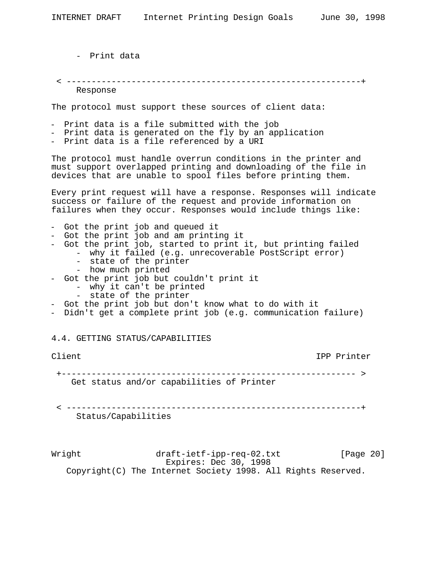- Print data

< -----------------------------------------------------------+

Response

The protocol must support these sources of client data:

- Print data is a file submitted with the job
- Print data is generated on the fly by an application
- Print data is a file referenced by a URI

The protocol must handle overrun conditions in the printer and must support overlapped printing and downloading of the file in devices that are unable to spool files before printing them.

Every print request will have a response. Responses will indicate success or failure of the request and provide information on failures when they occur. Responses would include things like:

- Got the print job and queued it
- Got the print job and am printing it
- Got the print job, started to print it, but printing failed
	- why it failed (e.g. unrecoverable PostScript error)
		- state of the printer
		- how much printed
- Got the print job but couldn't print it
	- why it can't be printed<br>- state of the printer
	-
- 
- Got the print job but don't know what to do with it<br>- Didn't get a complete print job (e.g. communication failure)

## 4.4. GETTING STATUS/CAPABILITIES

Client IPP Printer

+----------------------------------------------------------- >

Get status and/or capabilities of Printer

 < -----------------------------------------------------------+ Status/Capabilities

Wright draft-ietf-ipp-req-02.txt [Page 20] Expires: Dec 30, 1998 Copyright(C) The Internet Society 1998. All Rights Reserved.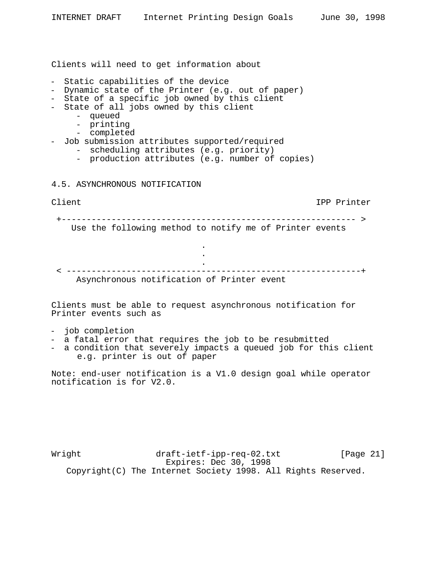Clients will need to get information about

- Static capabilities of the device
- Dynamic state of the Printer (e.g. out of paper)
- State of a specific job owned by this client
- State of all jobs owned by this client
	- queued
	- printing
	- completed
- Job submission attributes supported/required
	- scheduling attributes (e.g. priority)
	- production attributes (e.g. number of copies)

#### 4.5. ASYNCHRONOUS NOTIFICATION

**.** The contract of the contract of the contract of the contract of the contract of the contract of the contract of **.** The contract of the contract of the contract of the contract of the contract of the contract of the contract of

# Client IPP Printer

+----------------------------------------------------------- >

Use the following method to notify me of Printer events

**.** The contract of the contract of the contract of the contract of the contract of the contract of the contract of < -----------------------------------------------------------+ Asynchronous notification of Printer event

Clients must be able to request asynchronous notification for Printer events such as

- 
- 
- job completion<br>- a fatal error that requires the job to be resubmitted<br>- a condition that severely impacts a queued job for this client e.g. printer is out of paper

Note: end-user notification is a V1.0 design goal while operator notification is for V2.0.

Wright draft-ietf-ipp-req-02.txt [Page 21] Expires: Dec 30, 1998 Copyright(C) The Internet Society 1998. All Rights Reserved.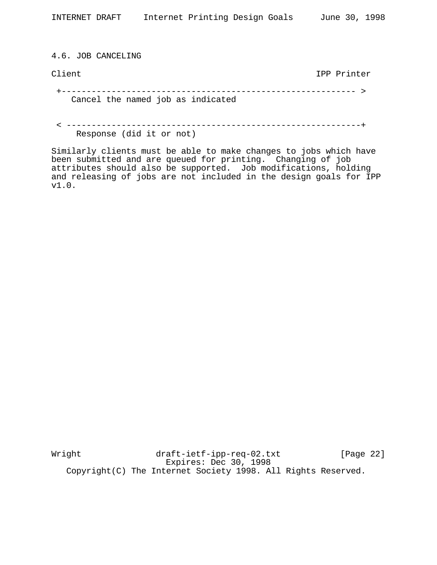4.6. JOB CANCELING

Client IPP Printer

 +----------------------------------------------------------- > Cancel the named job as indicated

 < -----------------------------------------------------------+ Response (did it or not)

Similarly clients must be able to make changes to jobs which have been submitted and are queued for printing. Changing of job attributes should also be supported. Job modifications, holding and releasing of jobs are not included in the design goals for IPP v1.0.

Wright draft-ietf-ipp-req-02.txt [Page 22] Expires: Dec 30, 1998 Copyright(C) The Internet Society 1998. All Rights Reserved.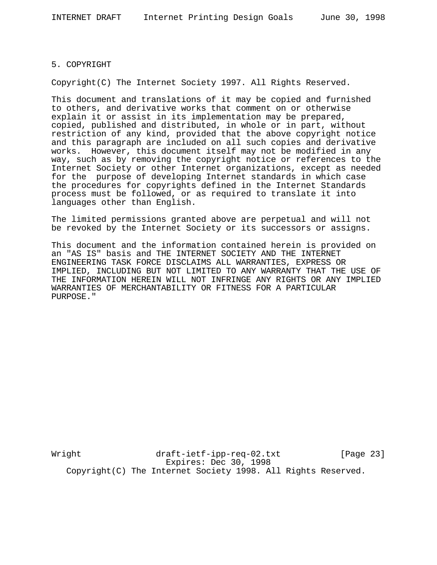# 5. COPYRIGHT

Copyright(C) The Internet Society 1997. All Rights Reserved.

This document and translations of it may be copied and furnished to others, and derivative works that comment on or otherwise explain it or assist in its implementation may be prepared, copied, published and distributed, in whole or in part, without restriction of any kind, provided that the above copyright notice and this paragraph are included on all such copies and derivative works. However, this document itself may not be modified in any way, such as by removing the copyright notice or references to the Internet Society or other Internet organizations, except as needed for the purpose of developing Internet standards in which case the procedures for copyrights defined in the Internet Standards process must be followed, or as required to translate it into languages other than English.

The limited permissions granted above are perpetual and will not be revoked by the Internet Society or its successors or assigns.

This document and the information contained herein is provided on an "AS IS" basis and THE INTERNET SOCIETY AND THE INTERNET ENGINEERING TASK FORCE DISCLAIMS ALL WARRANTIES, EXPRESS OR IMPLIED, INCLUDING BUT NOT LIMITED TO ANY WARRANTY THAT THE USE OF THE INFORMATION HEREIN WILL NOT INFRINGE ANY RIGHTS OR ANY IMPLIED WARRANTIES OF MERCHANTABILITY OR FITNESS FOR A PARTICULAR PURPOSE."

Wright draft-ietf-ipp-req-02.txt [Page 23] Expires: Dec 30, 1998 Copyright(C) The Internet Society 1998. All Rights Reserved.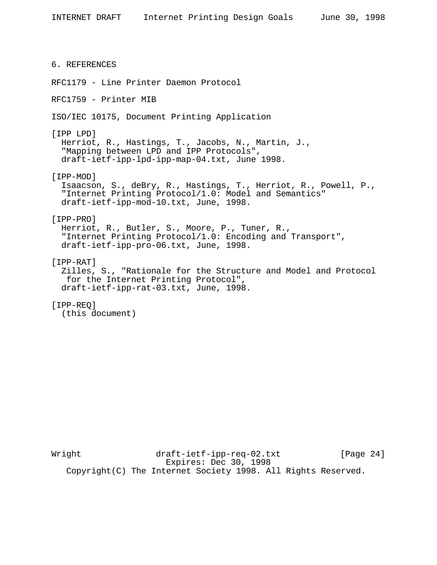6. REFERENCES RFC1179 - Line Printer Daemon Protocol RFC1759 - Printer MIB ISO/IEC 10175, Document Printing Application [IPP LPD] Herriot, R., Hastings, T., Jacobs, N., Martin, J., "Mapping between LPD and IPP Protocols", draft-ietf-ipp-lpd-ipp-map-04.txt, June 1998. [IPP-MOD] Isaacson, S., deBry, R., Hastings, T., Herriot, R., Powell, P., "Internet Printing Protocol/1.0: Model and Semantics" draft-ietf-ipp-mod-10.txt, June, 1998. [IPP-PRO] Herriot, R., Butler, S., Moore, P., Tuner, R., "Internet Printing Protocol/1.0: Encoding and Transport", draft-ietf-ipp-pro-06.txt, June, 1998. [IPP-RAT] Zilles, S., "Rationale for the Structure and Model and Protocol for the Internet Printing Protocol", draft-ietf-ipp-rat-03.txt, June, 1998. [IPP-REQ] (this document)

Wright draft-ietf-ipp-req-02.txt [Page 24] Expires: Dec 30, 1998 Copyright(C) The Internet Society 1998. All Rights Reserved.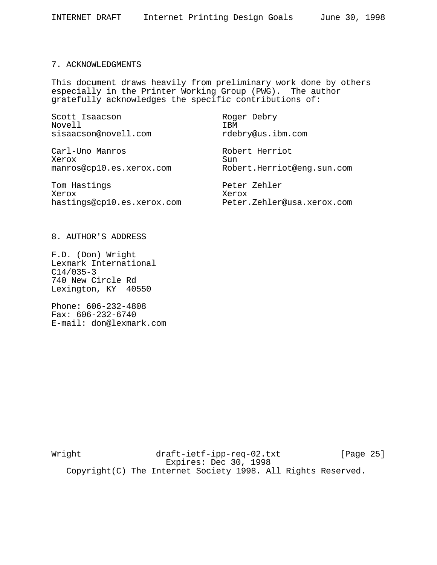## 7. ACKNOWLEDGMENTS

This document draws heavily from preliminary work done by others especially in the Printer Working Group (PWG). The author gratefully acknowledges the specific contributions of:

| Scott Isaacson<br>Novell   | Roger Debry<br>IBM         |
|----------------------------|----------------------------|
| sisaacson@novell.com       | rdebry@us.ibm.com          |
| Carl-Uno Manros<br>Xerox   | Robert Herriot<br>Sun      |
| manros@cp10.es.xerox.com   | Robert.Herriot@enq.sun.com |
| Tom Hastings               | Peter Zehler               |
| Xerox                      | Xerox                      |
| hastings@cp10.es.xerox.com | Peter.Zehler@usa.xerox.com |

8. AUTHOR'S ADDRESS

F.D. (Don) Wright Lexmark International C14/035-3 740 New Circle Rd Lexington, KY 40550

Phone: 606-232-4808 Fax: 606-232-6740 E-mail: don@lexmark.com

Wright draft-ietf-ipp-req-02.txt [Page 25] Expires: Dec 30, 1998 Copyright(C) The Internet Society 1998. All Rights Reserved.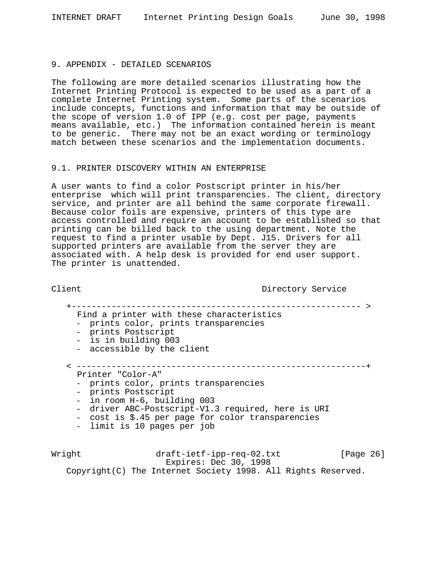#### 9. APPENDIX - DETAILED SCENARIOS

The following are more detailed scenarios illustrating how the Internet Printing Protocol is expected to be used as a part of a complete Internet Printing system. Some parts of the scenarios include concepts, functions and information that may be outside of the scope of version 1.0 of IPP (e.g. cost per page, payments means available, etc.) The information contained herein is meant to be generic. There may not be an exact wording or terminology match between these scenarios and the implementation documents.

#### 9.1. PRINTER DISCOVERY WITHIN AN ENTERPRISE

A user wants to find a color Postscript printer in his/her enterprise which will print transparencies. The client, directory service, and printer are all behind the same corporate firewall. Because color foils are expensive, printers of this type are access controlled and require an account to be established so that printing can be billed back to the using department. Note the request to find a printer usable by Dept. J15. Drivers for all supported printers are available from the server they are associated with. A help desk is provided for end user support. The printer is unattended.

#### Client Directory Service

+---------------------------------------------------------- >

- Find a printer with these characteristics
- prints color, prints transparencies prints Postscript is in building 003 accessible by the client
- 
- 
- 

# < ----------------------------------------------------------+

Printer "Color-A"

- 
- 
- 
- prints color, prints transparencies<br>- prints Postscript<br>- in room H-6, building 003<br>- driver ABC-Postscript-V1.3 required, here is URI<br>- cost is \$.45 per page for color transparencies<br>- limit is 10 pages per job
- 
- 

Wright draft-ietf-ipp-req-02.txt [Page 26] Expires: Dec 30, 1998 Copyright(C) The Internet Society 1998. All Rights Reserved.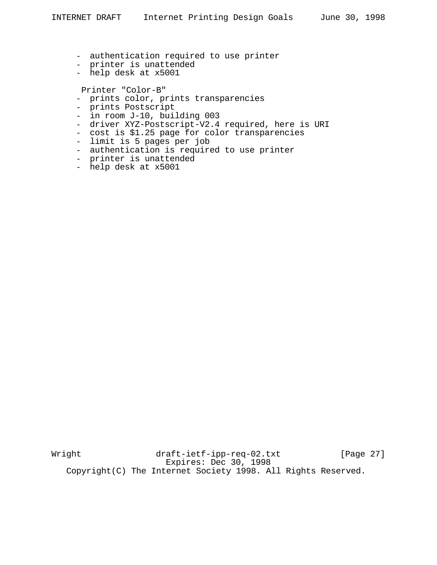- authentication required to use printer
- printer is unattended
- help desk at x5001

Printer "Color-B"

- prints color, prints transparencies
- prints Postscript
- in room J-10, building 003
- driver XYZ-Postscript-V2.4 required, here is URI
- cost is \$1.25 page for color transparencies
- limit is 5 pages per job
- authentication is required to use printer
- printer is unattended
- help desk at x5001

Wright draft-ietf-ipp-req-02.txt [Page 27] Expires: Dec 30, 1998 Copyright(C) The Internet Society 1998. All Rights Reserved.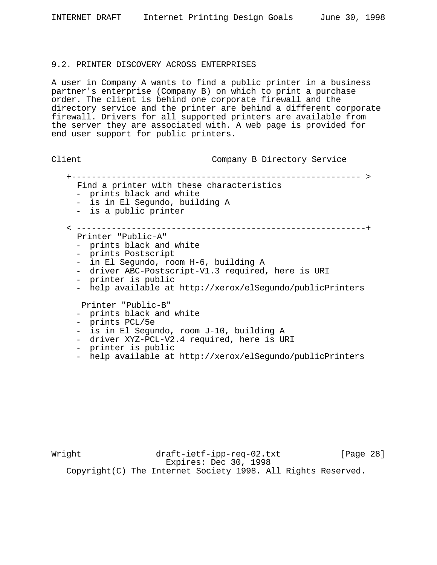## 9.2. PRINTER DISCOVERY ACROSS ENTERPRISES

A user in Company A wants to find a public printer in a business partner's enterprise (Company B) on which to print a purchase order. The client is behind one corporate firewall and the directory service and the printer are behind a different corporate firewall. Drivers for all supported printers are available from the server they are associated with. A web page is provided for end user support for public printers.

| Client |                                                                                                                                                                                                                                                          | Company B Directory Service              |  |  |  |
|--------|----------------------------------------------------------------------------------------------------------------------------------------------------------------------------------------------------------------------------------------------------------|------------------------------------------|--|--|--|
|        | Find a printer with these characteristics<br>- prints black and white<br>- is in El Segundo, building A<br>- is a public printer                                                                                                                         | -------------------------------------- > |  |  |  |
|        | Printer "Public-A"<br>- prints black and white<br>- prints Postscript<br>- in El Segundo, room H-6, building A<br>- driver ABC-Postscript-V1.3 required, here is URI<br>- printer is public<br>- help available at http://xerox/elSegundo/publicPrinters |                                          |  |  |  |
|        | Printer "Public-B"<br>- prints black and white<br>- prints PCL/5e<br>- is in El Segundo, room J-10, building A<br>- driver XYZ-PCL-V2.4 required, here is URI<br>- printer is public<br>- help available at http://xerox/elSegundo/publicPrinters        |                                          |  |  |  |

Wright draft-ietf-ipp-req-02.txt [Page 28] Expires: Dec 30, 1998 Copyright(C) The Internet Society 1998. All Rights Reserved.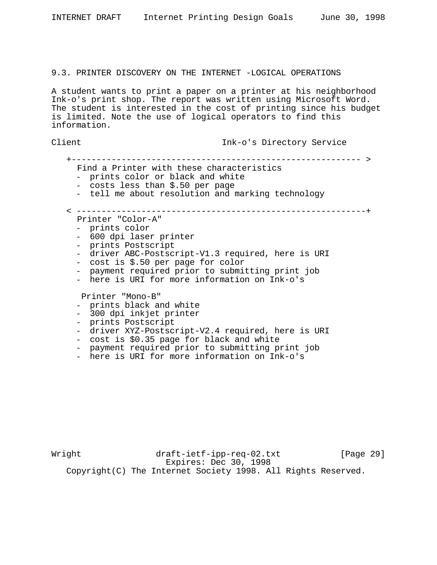|              | INTERNET DRAFT                                                                                                                                                                                                                                                                                      | Internet Printing Design Goals |                           |  | June 30, 1998 |
|--------------|-----------------------------------------------------------------------------------------------------------------------------------------------------------------------------------------------------------------------------------------------------------------------------------------------------|--------------------------------|---------------------------|--|---------------|
|              | 9.3. PRINTER DISCOVERY ON THE INTERNET -LOGICAL OPERATIONS                                                                                                                                                                                                                                          |                                |                           |  |               |
| information. | A student wants to print a paper on a printer at his neighborhood<br>Ink-o's print shop. The report was written using Microsoft Word.<br>The student is interested in the cost of printing since his budget<br>is limited. Note the use of logical operators to find this                           |                                |                           |  |               |
| Client       |                                                                                                                                                                                                                                                                                                     |                                | Ink-o's Directory Service |  |               |
|              | Find a Printer with these characteristics<br>prints color or black and white<br>- costs less than \$.50 per page<br>- tell me about resolution and marking technology                                                                                                                               |                                |                           |  |               |
|              | Printer "Color-A"<br>- prints color<br>- 600 dpi laser printer<br>- prints Postscript<br>- driver ABC-Postscript-V1.3 required, here is URI<br>- cost is \$.50 per page for color<br>- payment required prior to submitting print job<br>here is URI for more information on Ink-o's                |                                |                           |  |               |
|              | Printer "Mono-B"<br>prints black and white<br>- 300 dpi inkjet printer<br>- prints Postscript<br>- driver XYZ-Postscript-V2.4 required, here is URI<br>- cost is \$0.35 page for black and white<br>- payment required prior to submitting print job<br>here is URI for more information on Ink-o's |                                |                           |  |               |

Wright draft-ietf-ipp-req-02.txt [Page 29] Expires: Dec 30, 1998 Copyright(C) The Internet Society 1998. All Rights Reserved.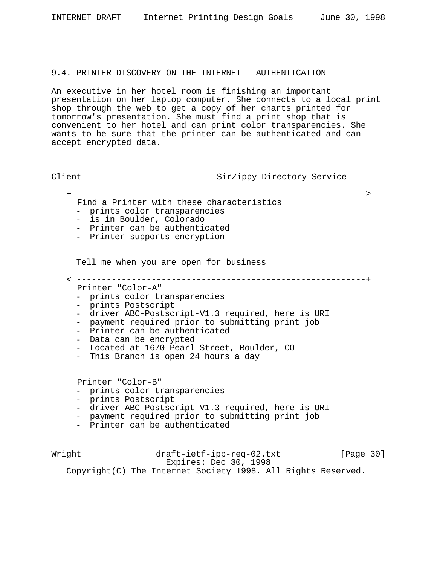#### 9.4. PRINTER DISCOVERY ON THE INTERNET - AUTHENTICATION

An executive in her hotel room is finishing an important presentation on her laptop computer. She connects to a local print shop through the web to get a copy of her charts printed for tomorrow's presentation. She must find a print shop that is convenient to her hotel and can print color transparencies. She wants to be sure that the printer can be authenticated and can accept encrypted data.

Client SirZippy Directory Service

+---------------------------------------------------------- >

< ----------------------------------------------------------+

- Find a Printer with these characteristics
- prints color transparencies - is in Boulder, Colorado
- Printer can be authenticated
- Printer supports encryption

Tell me when you are open for business

Printer "Color-A"

- prints color transparencies
- prints Postscript
- driver ABC-Postscript-V1.3 required, here is URI
- payment required prior to submitting print job
- Printer can be authenticated
- Data can be encrypted
- Located at 1670 Pearl Street, Boulder, CO
- This Branch is open 24 hours a day

Printer "Color-B"

- prints color transparencies
- prints Postscript
- driver ABC-Postscript-V1.3 required, here is URI
- payment required prior to submitting print job
- Printer can be authenticated

Wright draft-ietf-ipp-req-02.txt [Page 30] Expires: Dec 30, 1998 Copyright(C) The Internet Society 1998. All Rights Reserved.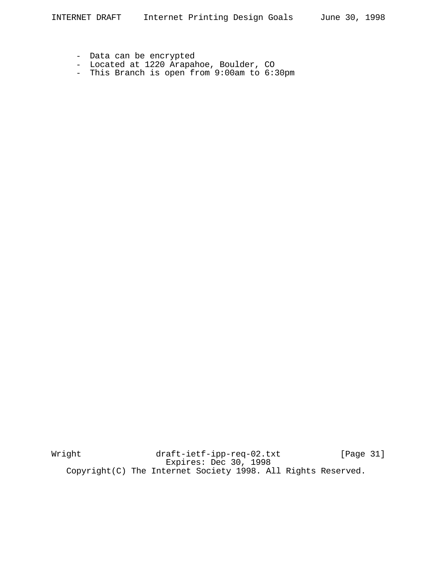- Data can be encrypted
- Located at 1220 Arapahoe, Boulder, CO
- This Branch is open from 9:00am to 6:30pm

Wright draft-ietf-ipp-req-02.txt [Page 31] Expires: Dec 30, 1998 Copyright(C) The Internet Society 1998. All Rights Reserved.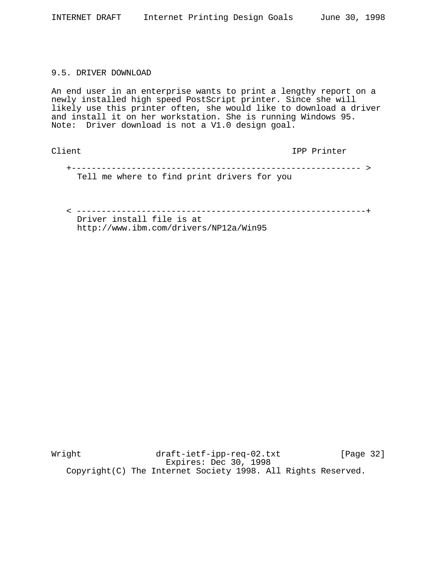## 9.5. DRIVER DOWNLOAD

An end user in an enterprise wants to print a lengthy report on a newly installed high speed PostScript printer. Since she will likely use this printer often, she would like to download a driver and install it on her workstation. She is running Windows 95. Note: Driver download is not a V1.0 design goal.

Client IPP Printer

 +---------------------------------------------------------- > Tell me where to find print drivers for you

 < ----------------------------------------------------------+ Driver install file is at

http://www.ibm.com/drivers/NP12a/Win95

Wright draft-ietf-ipp-req-02.txt [Page 32] Expires: Dec 30, 1998 Copyright(C) The Internet Society 1998. All Rights Reserved.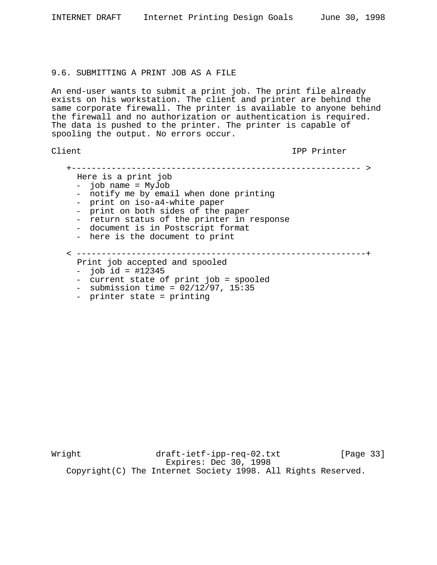#### 9.6. SUBMITTING A PRINT JOB AS A FILE

An end-user wants to submit a print job. The print file already exists on his workstation. The client and printer are behind the same corporate firewall. The printer is available to anyone behind the firewall and no authorization or authentication is required. The data is pushed to the printer. The printer is capable of spooling the output. No errors occur.

Client IPP Printer

 +---------------------------------------------------------- > Here is a print job - job name = MyJob - notify me by email when done printing - print on iso-a4-white paper - print on both sides of the paper - return status of the printer in response - document is in Postscript format - here is the document to print < ----------------------------------------------------------+ Print job accepted and spooled  $-$  job id = #12345 - current state of print job = spooled - submission time =  $02/12/97$ , 15:35 - printer state = printing

Wright draft-ietf-ipp-req-02.txt [Page 33] Expires: Dec 30, 1998 Copyright(C) The Internet Society 1998. All Rights Reserved.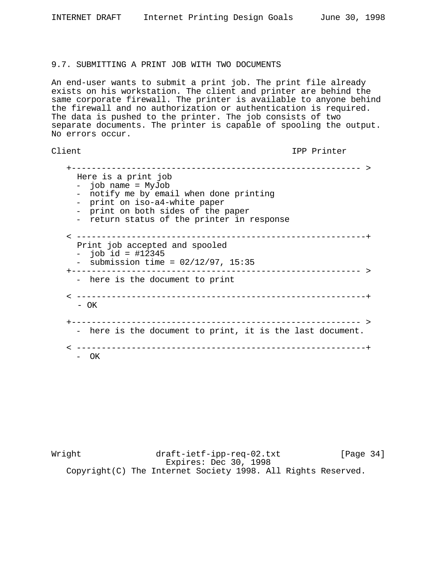## 9.7. SUBMITTING A PRINT JOB WITH TWO DOCUMENTS

An end-user wants to submit a print job. The print file already exists on his workstation. The client and printer are behind the same corporate firewall. The printer is available to anyone behind the firewall and no authorization or authentication is required. The data is pushed to the printer. The job consists of two separate documents. The printer is capable of spooling the output. No errors occur.

# Client IPP Printer

 +---------------------------------------------------------- > Here is a print job - job name = MyJob - notify me by email when done printing - print on iso-a4-white paper - print on both sides of the paper - return status of the printer in response < ----------------------------------------------------------+ Print job accepted and spooled  $-$  job id = #12345 - submission time =  $02/12/97$ ,  $15:35$  +---------------------------------------------------------- > - here is the document to print < ----------------------------------------------------------+ - OK +---------------------------------------------------------- > - here is the document to print, it is the last document. < ----------------------------------------------------------+ - OK

Wright draft-ietf-ipp-req-02.txt [Page 34] Expires: Dec 30, 1998 Copyright(C) The Internet Society 1998. All Rights Reserved.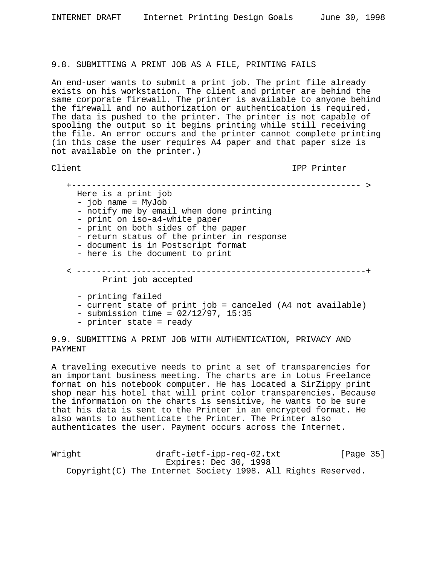## 9.8. SUBMITTING A PRINT JOB AS A FILE, PRINTING FAILS

An end-user wants to submit a print job. The print file already exists on his workstation. The client and printer are behind the same corporate firewall. The printer is available to anyone behind the firewall and no authorization or authentication is required. The data is pushed to the printer. The printer is not capable of spooling the output so it begins printing while still receiving the file. An error occurs and the printer cannot complete printing (in this case the user requires A4 paper and that paper size is not available on the printer.)

Client IPP Printer

 +---------------------------------------------------------- > Here is a print job - job name = MyJob - notify me by email when done printing - print on iso-a4-white paper - print on both sides of the paper - return status of the printer in response - document is in Postscript format - here is the document to print < ----------------------------------------------------------+ Print job accepted - printing failed - current state of print job = canceled (A4 not available)

- $-$  submission time =  $02/12/97$ , 15:35
- printer state = ready

9.9. SUBMITTING A PRINT JOB WITH AUTHENTICATION, PRIVACY AND PAYMENT

A traveling executive needs to print a set of transparencies for an important business meeting. The charts are in Lotus Freelance format on his notebook computer. He has located a SirZippy print shop near his hotel that will print color transparencies. Because the information on the charts is sensitive, he wants to be sure that his data is sent to the Printer in an encrypted format. He also wants to authenticate the Printer. The Printer also authenticates the user. Payment occurs across the Internet.

Wright draft-ietf-ipp-req-02.txt [Page 35] Expires: Dec 30, 1998 Copyright(C) The Internet Society 1998. All Rights Reserved.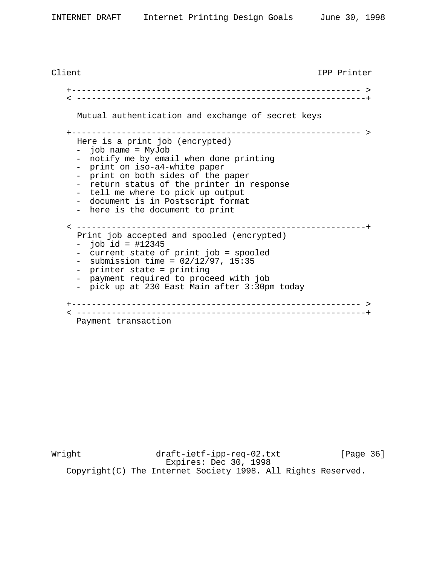Client IPP Printer +---------------------------------------------------------- > < ----------------------------------------------------------+ Mutual authentication and exchange of secret keys +---------------------------------------------------------- > Here is a print job (encrypted) - job name = MyJob - notify me by email when done printing - print on iso-a4-white paper - print on both sides of the paper - return status of the printer in response - tell me where to pick up output - document is in Postscript format - here is the document to print < ----------------------------------------------------------+ Print job accepted and spooled (encrypted)  $-$  job id = #12345 - current state of print job = spooled - submission time =  $02/12/97$ , 15:35 - printer state = printing - payment required to proceed with job - pick up at 230 East Main after 3:30pm today +---------------------------------------------------------- > < ----------------------------------------------------------+ Payment transaction

Wright draft-ietf-ipp-req-02.txt [Page 36] Expires: Dec 30, 1998 Copyright(C) The Internet Society 1998. All Rights Reserved.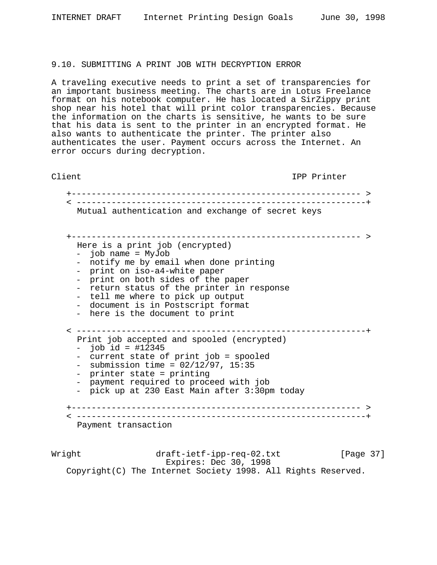## 9.10. SUBMITTING A PRINT JOB WITH DECRYPTION ERROR

A traveling executive needs to print a set of transparencies for an important business meeting. The charts are in Lotus Freelance format on his notebook computer. He has located a SirZippy print shop near his hotel that will print color transparencies. Because the information on the charts is sensitive, he wants to be sure that his data is sent to the printer in an encrypted format. He also wants to authenticate the printer. The printer also authenticates the user. Payment occurs across the Internet. An error occurs during decryption.

Client IPP Printer

 +---------------------------------------------------------- > < ----------------------------------------------------------+ Mutual authentication and exchange of secret keys +---------------------------------------------------------- > Here is a print job (encrypted) - job name = MyJob - notify me by email when done printing - print on iso-a4-white paper - print on both sides of the paper - return status of the printer in response<br>- tell me where to pick up output - document is in Postscript format<br>- here is the document to print < ----------------------------------------------------------+ Print job accepted and spooled (encrypted) - job id = #12345<br>- current state of print job = spooled<br>- submission time = 02/12/97, 15:35<br>- printer state = printing<br>- payment required to proceed with job<br>- pick up at 230 East Main after 3:30pm today +---------------------------------------------------------- > < ----------------------------------------------------------+ Payment transaction

Wright draft-ietf-ipp-req-02.txt [Page 37] Expires: Dec 30, 1998 Copyright(C) The Internet Society 1998. All Rights Reserved.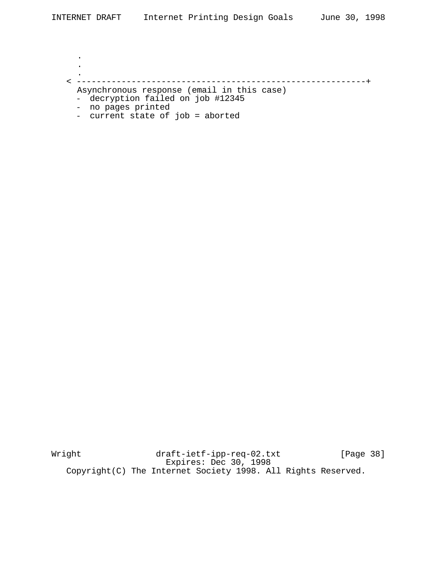. . . < ----------------------------------------------------------+ Asynchronous response (email in this case) - decryption failed on job #12345 - no pages printed

- current state of job = aborted

Wright draft-ietf-ipp-req-02.txt [Page 38] Expires: Dec 30, 1998 Copyright(C) The Internet Society 1998. All Rights Reserved.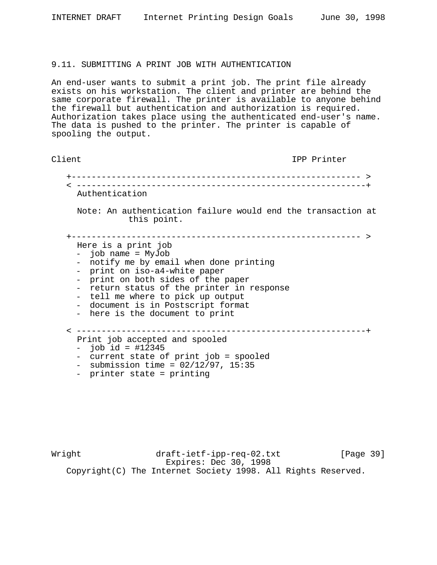## 9.11. SUBMITTING A PRINT JOB WITH AUTHENTICATION

An end-user wants to submit a print job. The print file already exists on his workstation. The client and printer are behind the same corporate firewall. The printer is available to anyone behind the firewall but authentication and authorization is required. Authorization takes place using the authenticated end-user's name. The data is pushed to the printer. The printer is capable of spooling the output.

| Client                                                                                                                                                                                                                                                                                                        | IPP Printer                                                  |
|---------------------------------------------------------------------------------------------------------------------------------------------------------------------------------------------------------------------------------------------------------------------------------------------------------------|--------------------------------------------------------------|
|                                                                                                                                                                                                                                                                                                               |                                                              |
| Authentication                                                                                                                                                                                                                                                                                                |                                                              |
| this point.                                                                                                                                                                                                                                                                                                   | Note: An authentication failure would end the transaction at |
| Here is a print job<br>- job name = MyJob<br>notify me by email when done printing<br>print on iso-a4-white paper<br>print on both sides of the paper<br>return status of the printer in response<br>tell me where to pick up output<br>- document is in Postscript format<br>- here is the document to print |                                                              |
| Print job accepted and spooled<br>- $job id = #12345$<br>current state of print job = spooled<br>submission time = $02/12/97$ , 15:35<br>$\sim$<br>printer state = printing                                                                                                                                   |                                                              |

Wright draft-ietf-ipp-req-02.txt [Page 39] Expires: Dec 30, 1998 Copyright(C) The Internet Society 1998. All Rights Reserved.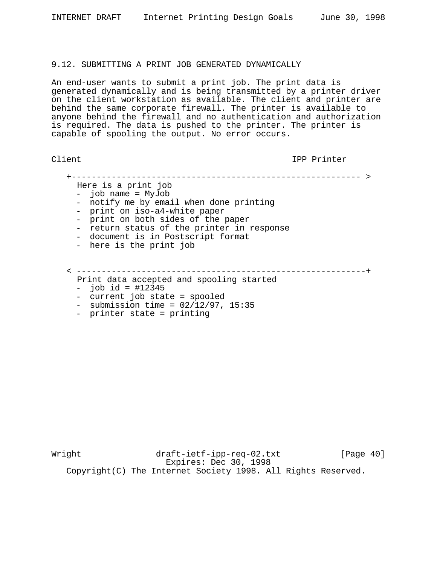#### 9.12. SUBMITTING A PRINT JOB GENERATED DYNAMICALLY

An end-user wants to submit a print job. The print data is generated dynamically and is being transmitted by a printer driver on the client workstation as available. The client and printer are behind the same corporate firewall. The printer is available to anyone behind the firewall and no authentication and authorization is required. The data is pushed to the printer. The printer is capable of spooling the output. No error occurs.

Client IPP Printer

 +---------------------------------------------------------- > Here is a print job - job name = MyJob - notify me by email when done printing - print on iso-a4-white paper - print on both sides of the paper - return status of the printer in response - document is in Postscript format - here is the print job < ----------------------------------------------------------+

Print data accepted and spooling started

- 
- job id = #12345<br>- current job state = spooled
- submission time =  $02/12/97$ , 15:35<br>- printer state = printing
- 

Wright draft-ietf-ipp-req-02.txt [Page 40] Expires: Dec 30, 1998 Copyright(C) The Internet Society 1998. All Rights Reserved.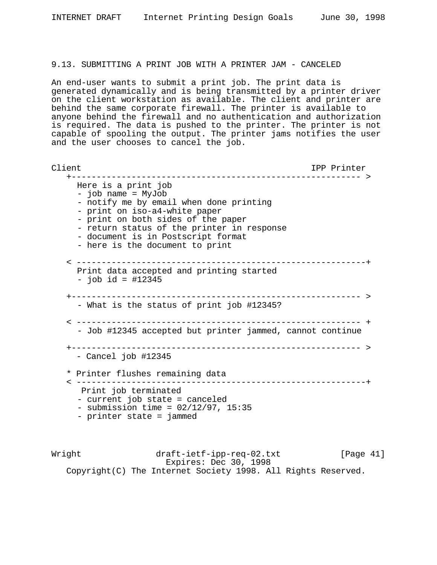# 9.13. SUBMITTING A PRINT JOB WITH A PRINTER JAM - CANCELED

An end-user wants to submit a print job. The print data is generated dynamically and is being transmitted by a printer driver on the client workstation as available. The client and printer are behind the same corporate firewall. The printer is available to anyone behind the firewall and no authentication and authorization is required. The data is pushed to the printer. The printer is not capable of spooling the output. The printer jams notifies the user and the user chooses to cancel the job.

```
Client IPP Printer
    +---------------------------------------------------------- >
    Here is a print job
     - job name = MyJob
     - notify me by email when done printing
     - print on iso-a4-white paper
     - print on both sides of the paper
     - return status of the printer in response
     - document is in Postscript format
     - here is the document to print
   < ----------------------------------------------------------+
     Print data accepted and printing started
     - job id = #12345
   +---------------------------------------------------------- >
     - What is the status of print job #12345?
    < --------------------------------------------------------- +
      - Job #12345 accepted but printer jammed, cannot continue
    +---------------------------------------------------------- >
     - Cancel job #12345
    * Printer flushes remaining data
    < ----------------------------------------------------------+
      Print job terminated
     - current job state = canceled
     - submission time = 02/12/97, 15:35
     - printer state = jammed
```
Wright draft-ietf-ipp-req-02.txt [Page 41] Expires: Dec 30, 1998 Copyright(C) The Internet Society 1998. All Rights Reserved.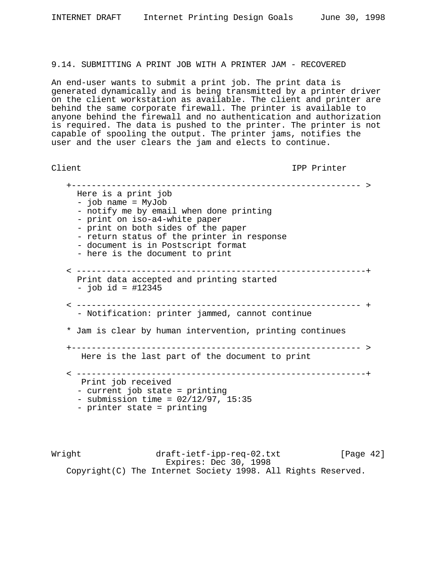# 9.14. SUBMITTING A PRINT JOB WITH A PRINTER JAM - RECOVERED

An end-user wants to submit a print job. The print data is generated dynamically and is being transmitted by a printer driver on the client workstation as available. The client and printer are behind the same corporate firewall. The printer is available to anyone behind the firewall and no authentication and authorization is required. The data is pushed to the printer. The printer is not capable of spooling the output. The printer jams, notifies the user and the user clears the jam and elects to continue.

Client IPP Printer

 +---------------------------------------------------------- > Here is a print job - job name = MyJob - notify me by email when done printing - print on iso-a4-white paper - print on both sides of the paper - return status of the printer in response - document is in Postscript format - here is the document to print < ----------------------------------------------------------+ Print data accepted and printing started - job id = #12345 < --------------------------------------------------------- + - Notification: printer jammed, cannot continue \* Jam is clear by human intervention, printing continues +---------------------------------------------------------- > Here is the last part of the document to print < ----------------------------------------------------------+ Print job received - current job state = printing  $-$  submission time =  $02/12/97$ , 15:35 - printer state = printing

Wright draft-ietf-ipp-req-02.txt [Page 42] Expires: Dec 30, 1998 Copyright(C) The Internet Society 1998. All Rights Reserved.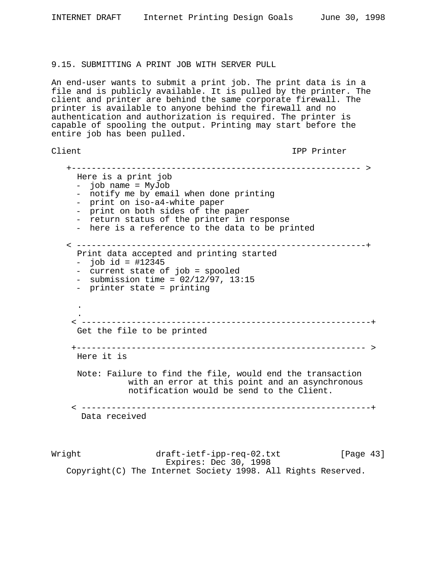## 9.15. SUBMITTING A PRINT JOB WITH SERVER PULL

An end-user wants to submit a print job. The print data is in a file and is publicly available. It is pulled by the printer. The client and printer are behind the same corporate firewall. The printer is available to anyone behind the firewall and no authentication and authorization is required. The printer is capable of spooling the output. Printing may start before the entire job has been pulled.

```
Client IPP Printer
```
 +---------------------------------------------------------- > Here is a print job - job name = MyJob - notify me by email when done printing - print on iso-a4-white paper - print on both sides of the paper - return status of the printer in response - here is a reference to the data to be printed < ----------------------------------------------------------+ Print data accepted and printing started  $-$  job id = #12345 - current state of job = spooled  $-$  submission time =  $02/12/97$ , 13:15 - printer state = printing . . < ----------------------------------------------------------+ Get the file to be printed +---------------------------------------------------------- > Here it is Note: Failure to find the file, would end the transaction with an error at this point and an asynchronous notification would be send to the Client. < ----------------------------------------------------------+ Data received

Wright draft-ietf-ipp-req-02.txt [Page 43] Expires: Dec 30, 1998 Copyright(C) The Internet Society 1998. All Rights Reserved.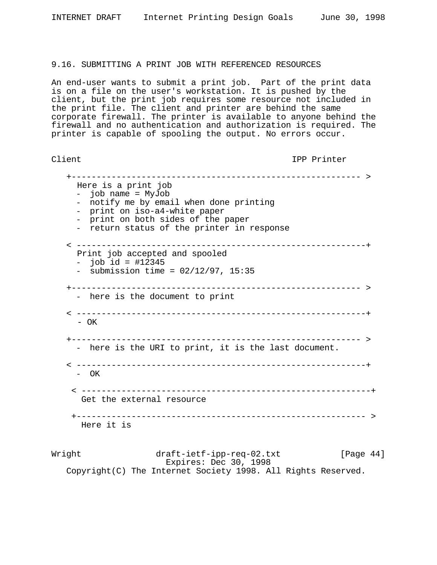## 9.16. SUBMITTING A PRINT JOB WITH REFERENCED RESOURCES

An end-user wants to submit a print job. Part of the print data is on a file on the user's workstation. It is pushed by the client, but the print job requires some resource not included in the print file. The client and printer are behind the same corporate firewall. The printer is available to anyone behind the firewall and no authentication and authorization is required. The printer is capable of spooling the output. No errors occur.

Client IPP Printer

 +---------------------------------------------------------- > Here is a print job - job name = MyJob - notify me by email when done printing - print on iso-a4-white paper - print on both sides of the paper - return status of the printer in response < ----------------------------------------------------------+ Print job accepted and spooled  $-$  job id = #12345  $-$  submission time =  $02/12/97$ , 15:35 +---------------------------------------------------------- > - here is the document to print < ----------------------------------------------------------+ - OK +---------------------------------------------------------- > - here is the URI to print, it is the last document. < ----------------------------------------------------------+ - OK < ----------------------------------------------------------+ Get the external resource +---------------------------------------------------------- > Here it is

Wright draft-ietf-ipp-req-02.txt [Page 44] Expires: Dec 30, 1998 Copyright(C) The Internet Society 1998. All Rights Reserved.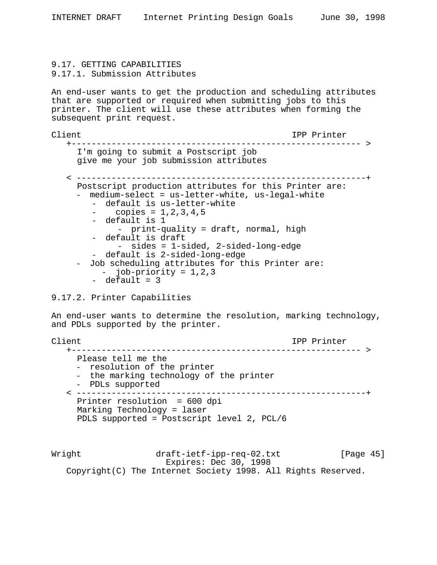# 9.17. GETTING CAPABILITIES 9.17.1. Submission Attributes

An end-user wants to get the production and scheduling attributes that are supported or required when submitting jobs to this printer. The client will use these attributes when forming the subsequent print request.

```
Client IPP Printer
   +---------------------------------------------------------- >
    I'm going to submit a Postscript job
    give me your job submission attributes
   < ----------------------------------------------------------+
    Postscript production attributes for this Printer are:
    - medium-select = us-letter-white, us-legal-white
       - default is us-letter-white
       - copies = 1, 2, 3, 4, 5- default is 1
           - print-quality = draft, normal, high
       - default is draft
           - sides = 1-sided, 2-sided-long-edge
       - default is 2-sided-long-edge
    - Job scheduling attributes for this Printer are:
        - job-priority = 1,2,3
       - default = 3
```
# 9.17.2. Printer Capabilities

An end-user wants to determine the resolution, marking technology, and PDLs supported by the printer.

Client IPP Printer +---------------------------------------------------------- > Please tell me the<br>- resolution of the printer - the marking technology of the printer<br>- PDLs supported < ----------------------------------------------------------+ Printer resolution = 600 dpi Marking Technology = laser PDLS supported = Postscript level 2, PCL/6

Wright draft-ietf-ipp-req-02.txt [Page 45] Expires: Dec 30, 1998 Copyright(C) The Internet Society 1998. All Rights Reserved.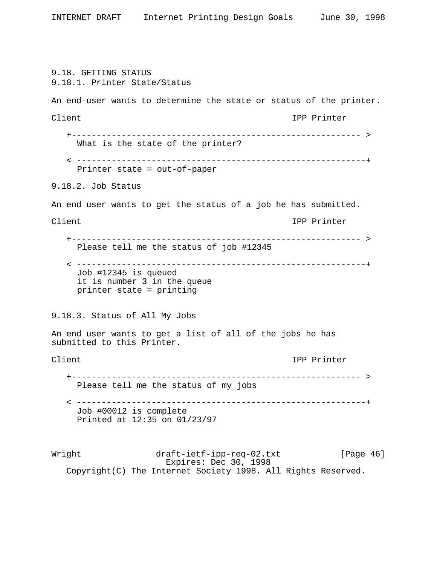Wright draft-ietf-ipp-req-02.txt [Page 46] Expires: Dec 30, 1998 Copyright(C) The Internet Society 1998. All Rights Reserved. 9.18. GETTING STATUS 9.18.1. Printer State/Status An end-user wants to determine the state or status of the printer. Client IPP Printer +---------------------------------------------------------- > What is the state of the printer? < ----------------------------------------------------------+ Printer state = out-of-paper 9.18.2. Job Status An end user wants to get the status of a job he has submitted. Client Client Client Client Client Client Client Client Client Client Client Client Client Client Client Client +---------------------------------------------------------- > Please tell me the status of job #12345 < ----------------------------------------------------------+ Job #12345 is queued it is number 3 in the queue printer state = printing 9.18.3. Status of All My Jobs An end user wants to get a list of all of the jobs he has submitted to this Printer. Client Client Client Client Client Client Client Client Client Client Client Client Client Client Client Client +---------------------------------------------------------- > Please tell me the status of my jobs < ----------------------------------------------------------+ Job #00012 is complete Printed at 12:35 on 01/23/97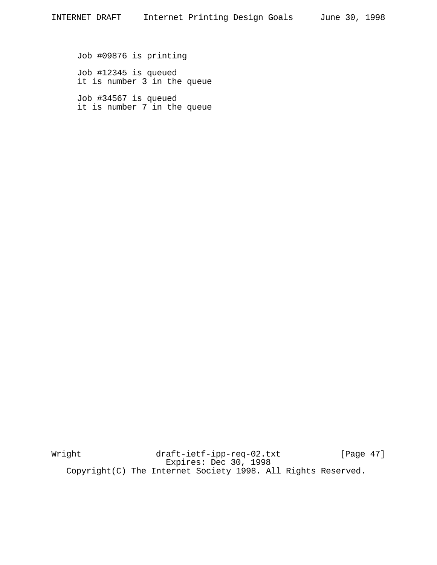Job #09876 is printing

Job #12345 is queued it is number 3 in the queue

Job #34567 is queued it is number 7 in the queue

Wright draft-ietf-ipp-req-02.txt [Page 47] Expires: Dec 30, 1998 Copyright(C) The Internet Society 1998. All Rights Reserved.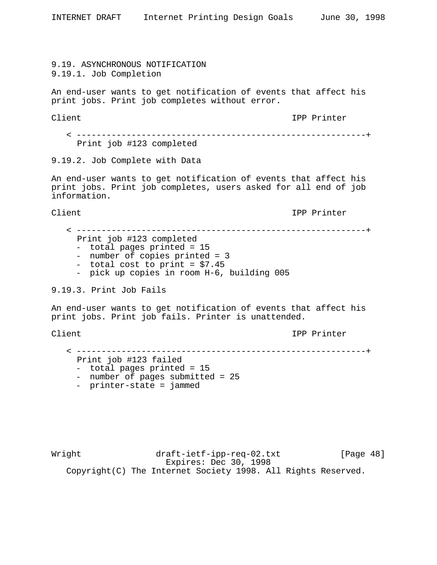9.19. ASYNCHRONOUS NOTIFICATION 9.19.1. Job Completion

An end-user wants to get notification of events that affect his print jobs. Print job completes without error.

Client IPP Printer

 < ----------------------------------------------------------+ Print job #123 completed

9.19.2. Job Complete with Data

An end-user wants to get notification of events that affect his print jobs. Print job completes, users asked for all end of job information.

Client IPP Printer

 < ----------------------------------------------------------+ Print job #123 completed - total pages printed = 15 - number of copies printed = 3 - total cost to print = \$7.45 - pick up copies in room H-6, building 005 9.19.3. Print Job Fails

An end-user wants to get notification of events that affect his print jobs. Print job fails. Printer is unattended.

Client IPP Printer

< ----------------------------------------------------------+

- Print job #123 failed - number of pages submitted = 25<br>- printer-state = jammed
- 

Wright draft-ietf-ipp-req-02.txt [Page 48] Expires: Dec 30, 1998 Copyright(C) The Internet Society 1998. All Rights Reserved.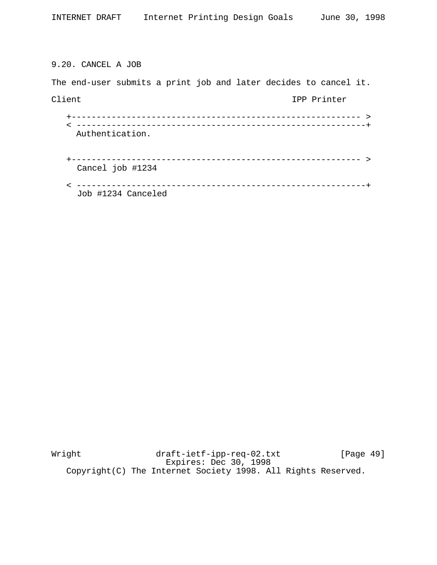# 9.20. CANCEL A JOB

The end-user submits a print job and later decides to cancel it. Client IPP Printer +---------------------------------------------------------- > < ----------------------------------------------------------+ Authentication. +---------------------------------------------------------- > Cancel job #1234 < ----------------------------------------------------------+ Job #1234 Canceled

Wright draft-ietf-ipp-req-02.txt [Page 49] Expires: Dec 30, 1998 Copyright(C) The Internet Society 1998. All Rights Reserved.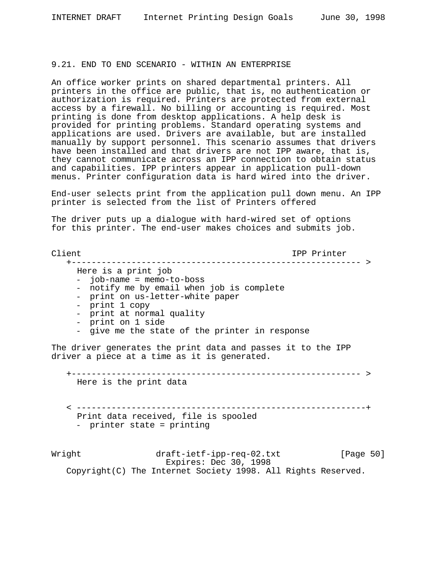## 9.21. END TO END SCENARIO - WITHIN AN ENTERPRISE

An office worker prints on shared departmental printers. All printers in the office are public, that is, no authentication or authorization is required. Printers are protected from external access by a firewall. No billing or accounting is required. Most printing is done from desktop applications. A help desk is provided for printing problems. Standard operating systems and applications are used. Drivers are available, but are installed manually by support personnel. This scenario assumes that drivers have been installed and that drivers are not IPP aware, that is, they cannot communicate across an IPP connection to obtain status and capabilities. IPP printers appear in application pull-down menus. Printer configuration data is hard wired into the driver.

End-user selects print from the application pull down menu. An IPP printer is selected from the list of Printers offered

The driver puts up a dialogue with hard-wired set of options for this printer. The end-user makes choices and submits job.

Client IPP Printer

+---------------------------------------------------------- >

- Here is a print job
- job-name = memo-to-boss
- notify me by email when job is complete<br>- print on us-letter-white paper
- 
- 
- 
- 
- print 1 copy<br>- print at normal quality<br>- print on 1 side<br>- give me the state of the printer in response

The driver generates the print data and passes it to the IPP driver a piece at a time as it is generated.

+---------------------------------------------------------- >

Here is the print data

 < ----------------------------------------------------------+ Print data received, file is spooled - printer state = printing

Wright draft-ietf-ipp-req-02.txt [Page 50] Expires: Dec 30, 1998 Copyright(C) The Internet Society 1998. All Rights Reserved.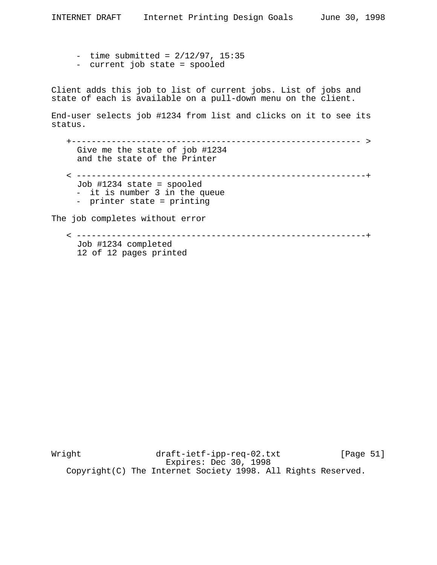- $-$  time submitted =  $2/12/97$ , 15:35
- current job state = spooled

Client adds this job to list of current jobs. List of jobs and state of each is available on a pull-down menu on the client.

End-user selects job #1234 from list and clicks on it to see its status.

 +---------------------------------------------------------- > Give me the state of job #1234 and the state of the Printer < ----------------------------------------------------------+ Job #1234 state = spooled - it is number 3 in the queue - printer state = printing The job completes without error

 < ----------------------------------------------------------+ Job #1234 completed 12 of 12 pages printed

Wright draft-ietf-ipp-req-02.txt [Page 51] Expires: Dec 30, 1998 Copyright(C) The Internet Society 1998. All Rights Reserved.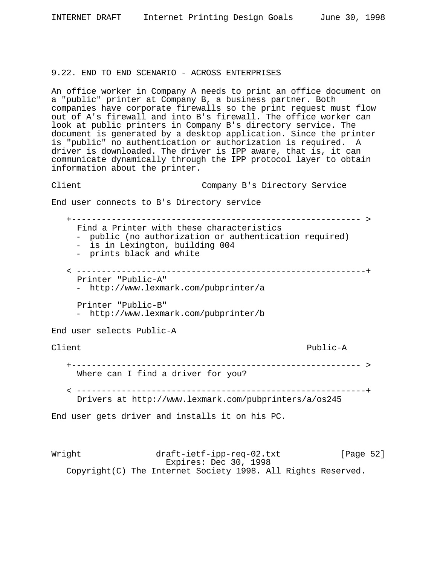#### 9.22. END TO END SCENARIO - ACROSS ENTERPRISES

An office worker in Company A needs to print an office document on a "public" printer at Company B, a business partner. Both companies have corporate firewalls so the print request must flow out of A's firewall and into B's firewall. The office worker can look at public printers in Company B's directory service. The document is generated by a desktop application. Since the printer is "public" no authentication or authorization is required. A driver is downloaded. The driver is IPP aware, that is, it can communicate dynamically through the IPP protocol layer to obtain information about the printer.

Client Company B's Directory Service

End user connects to B's Directory service

Wright draft-ietf-ipp-req-02.txt [Page 52] +---------------------------------------------------------- > Find a Printer with these characteristics - public (no authorization or authentication required) - is in Lexington, building 004 - prints black and white < ----------------------------------------------------------+ Printer "Public-A" - http://www.lexmark.com/pubprinter/a Printer "Public-B" - http://www.lexmark.com/pubprinter/b End user selects Public-A Client Public-A +---------------------------------------------------------- > Where can I find a driver for you? < ----------------------------------------------------------+ Drivers at http://www.lexmark.com/pubprinters/a/os245 End user gets driver and installs it on his PC.

Expires: Dec 30, 1998 Copyright(C) The Internet Society 1998. All Rights Reserved.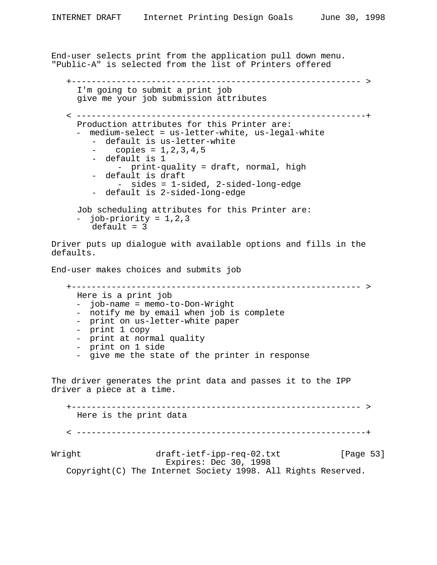```
Wright draft-ietf-ipp-req-02.txt [Page 53]
                         Expires: Dec 30, 1998
    Copyright(C) The Internet Society 1998. All Rights Reserved.
End-user selects print from the application pull down menu.
"Public-A" is selected from the list of Printers offered
    +---------------------------------------------------------- >
     I'm going to submit a print job
     give me your job submission attributes
    < ----------------------------------------------------------+
     Production attributes for this Printer are:
        medium-select = us-letter-white, us-legal-white
         - default is us-letter-white
              copies = 1, 2, 3, 4, 5- default is 1
              - print-quality = draft, normal, high
         - default is draft
              - sides = 1-sided, 2-sided-long-edge
         - default is 2-sided-long-edge
     Job scheduling attributes for this Printer are:
        job-priority = 1,2,3default = 3Driver puts up dialogue with available options and fills in the
defaults.
End-user makes choices and submits job
    +---------------------------------------------------------- >
     Here is a print job<br>- job-name = memo-to-Don-Wright
     - notify me by email when job is complete<br>- print on us-letter-white paper<br>- print 1 copy<br>- print at normal quality<br>- print on 1 side<br>- give me the state of the printer in response
The driver generates the print data and passes it to the IPP
driver a piece at a time.
    +---------------------------------------------------------- >
     Here is the print data
    < ----------------------------------------------------------+
```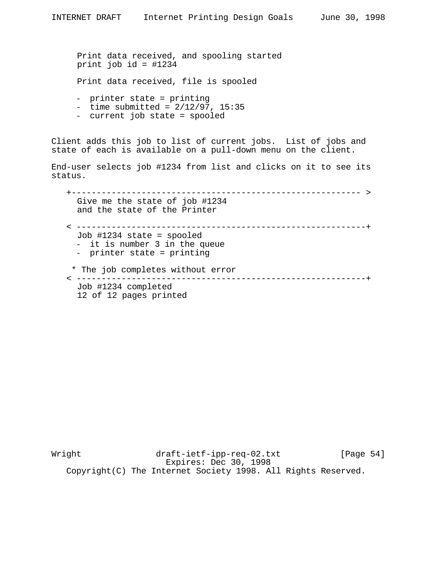Print data received, and spooling started print job id = #1234

Print data received, file is spooled

- printer state = printing
- $-$  time submitted =  $2/12/97$ , 15:35
- current job state = spooled

Client adds this job to list of current jobs. List of jobs and state of each is available on a pull-down menu on the client.

End-user selects job #1234 from list and clicks on it to see its status.

 +---------------------------------------------------------- > Give me the state of job #1234 and the state of the Printer < ----------------------------------------------------------+ Job #1234 state = spooled - it is number 3 in the queue - printer state = printing \* The job completes without error < ----------------------------------------------------------+ Job #1234 completed 12 of 12 pages printed

Wright draft-ietf-ipp-req-02.txt [Page 54] Expires: Dec 30, 1998 Copyright(C) The Internet Society 1998. All Rights Reserved.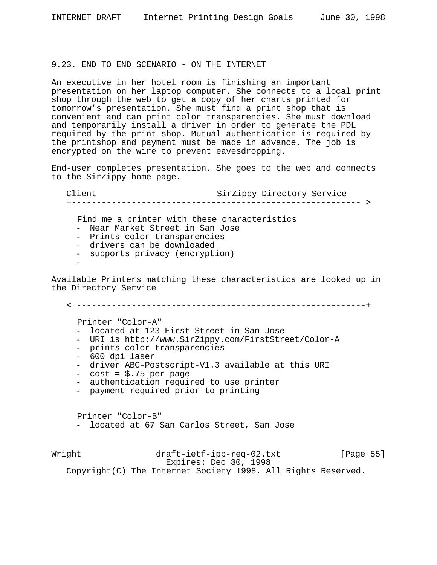## 9.23. END TO END SCENARIO - ON THE INTERNET

An executive in her hotel room is finishing an important presentation on her laptop computer. She connects to a local print shop through the web to get a copy of her charts printed for tomorrow's presentation. She must find a print shop that is convenient and can print color transparencies. She must download and temporarily install a driver in order to generate the PDL required by the print shop. Mutual authentication is required by the printshop and payment must be made in advance. The job is encrypted on the wire to prevent eavesdropping.

End-user completes presentation. She goes to the web and connects to the SirZippy home page.

Client SirZippy Directory Service +---------------------------------------------------------- > Find me a printer with these characteristics - Near Market Street in San Jose - Prints color transparencies - drivers can be downloaded - supports privacy (encryption) - Available Printers matching these characteristics are looked up in the Directory Service

< ----------------------------------------------------------+

- Printer "Color-A"<br>- located at 123 First Street in San Jose
- 
- 
- 
- URI is http://www.SirZippy.com/FirstStreet/Color-A<br>- prints color transparencies<br>- 600 dpi laser<br>- driver ABC-Postscript-V1.3 available at this URI<br>- cost = \$.75 per page<br>- authentication required to use printer<br>- paymen
- 
- 
- 

Printer "Color-B" - located at 67 San Carlos Street, San Jose

Wright draft-ietf-ipp-req-02.txt [Page 55] Expires: Dec 30, 1998 Copyright(C) The Internet Society 1998. All Rights Reserved.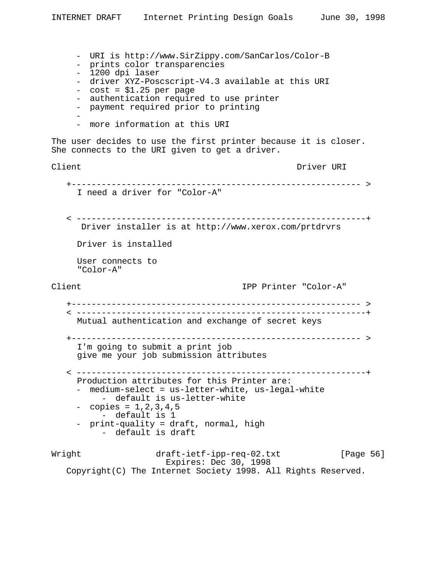Wright draft-ietf-ipp-req-02.txt [Page 56] Expires: Dec 30, 1998 Copyright(C) The Internet Society 1998. All Rights Reserved. - URI is http://www.SirZippy.com/SanCarlos/Color-B - prints color transparencies - 1200 dpi laser - driver XYZ-Poscscript-V4.3 available at this URI - cost = \$1.25 per page - authentication required to use printer - payment required prior to printing - - more information at this URI The user decides to use the first printer because it is closer. She connects to the URI given to get a driver. Client Client Client Client Client Driver URI +---------------------------------------------------------- > I need a driver for "Color-A" < ----------------------------------------------------------+ Driver installer is at http://www.xerox.com/prtdrvrs Driver is installed User connects to "Color-A" Client IPP Printer "Color-A" +---------------------------------------------------------- > < ----------------------------------------------------------+ Mutual authentication and exchange of secret keys +---------------------------------------------------------- > I'm going to submit a print job give me your job submission attributes < ----------------------------------------------------------+ Production attributes for this Printer are: - medium-select = us-letter-white, us-legal-white<br>- default is us-letter-white<br>- copies = 1,2,3,4,5<br>- default is 1<br>- print-quality = draft, normal, high<br>- default is draft